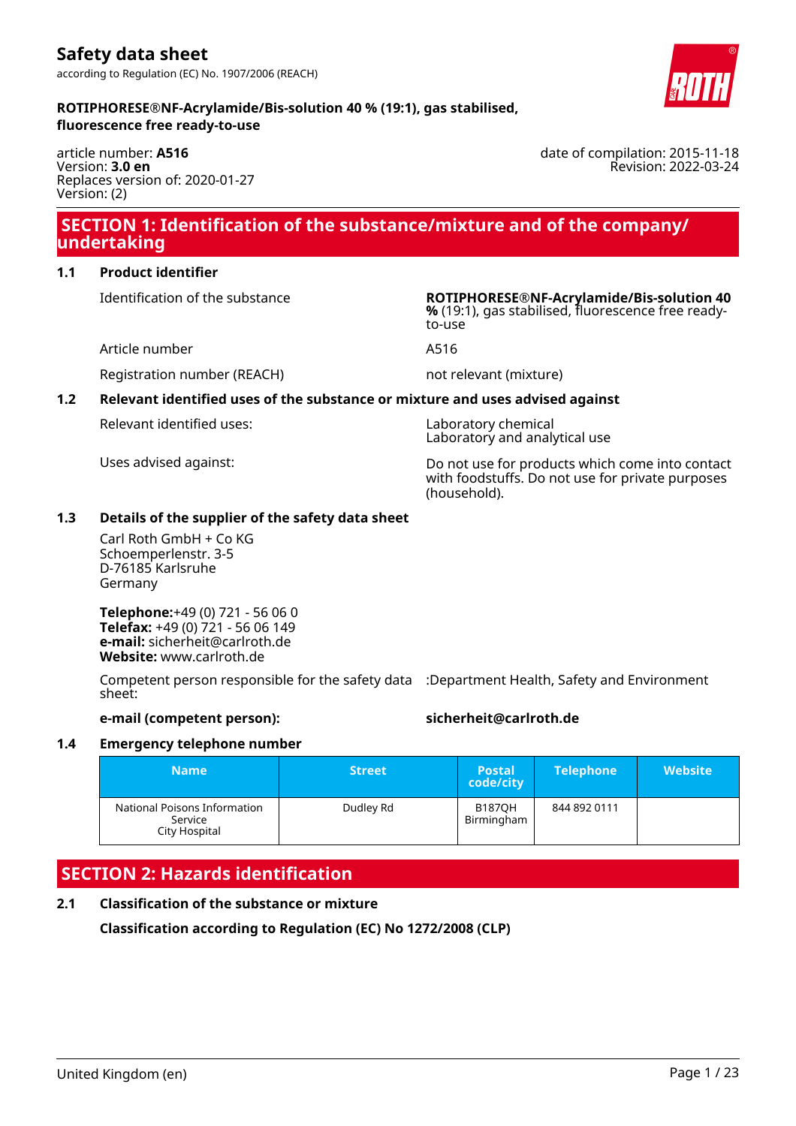article number: **A516** Version: **3.0 en** Replaces version of: 2020-01-27 Version: (2)

# **SECTION 1: Identification of the substance/mixture and of the company/ undertaking**

# **1.1 Product identifier**

Identification of the substance **ROTIPHORESE®NF-Acrylamide/Bis-solution 40**

Article number **A516** 

Registration number (REACH) not relevant (mixture)

# **1.2 Relevant identified uses of the substance or mixture and uses advised against**

Relevant identified uses: Laboratory chemical

Uses advised against: Do not use for products which come into contact with foodstuffs. Do not use for private purposes (household).

**%** (19:1), gas stabilised, fluorescence free ready-

# **1.3 Details of the supplier of the safety data sheet**

Carl Roth GmbH + Co KG Schoemperlenstr. 3-5 D-76185 Karlsruhe Germany

**Telephone:**+49 (0) 721 - 56 06 0 **Telefax:** +49 (0) 721 - 56 06 149 **e-mail:** sicherheit@carlroth.de **Website:** www.carlroth.de

Competent person responsible for the safety data :Department Health, Safety and Environment sheet:

# **e-mail (competent person): sicherheit@carlroth.de**

# **1.4 Emergency telephone number**

| <b>Name</b>                                              | <b>Street</b> | <b>Postal</b><br>code/city  | <b>Telephone</b> | <b>Website</b> |
|----------------------------------------------------------|---------------|-----------------------------|------------------|----------------|
| National Poisons Information<br>Service<br>City Hospital | Dudley Rd     | <b>B187OH</b><br>Birmingham | 844 892 0111     |                |

# **SECTION 2: Hazards identification**

# **2.1 Classification of the substance or mixture**

**Classification according to Regulation (EC) No 1272/2008 (CLP)**



date of compilation: 2015-11-18

Revision: 2022-03-24

to-use

Laboratory and analytical use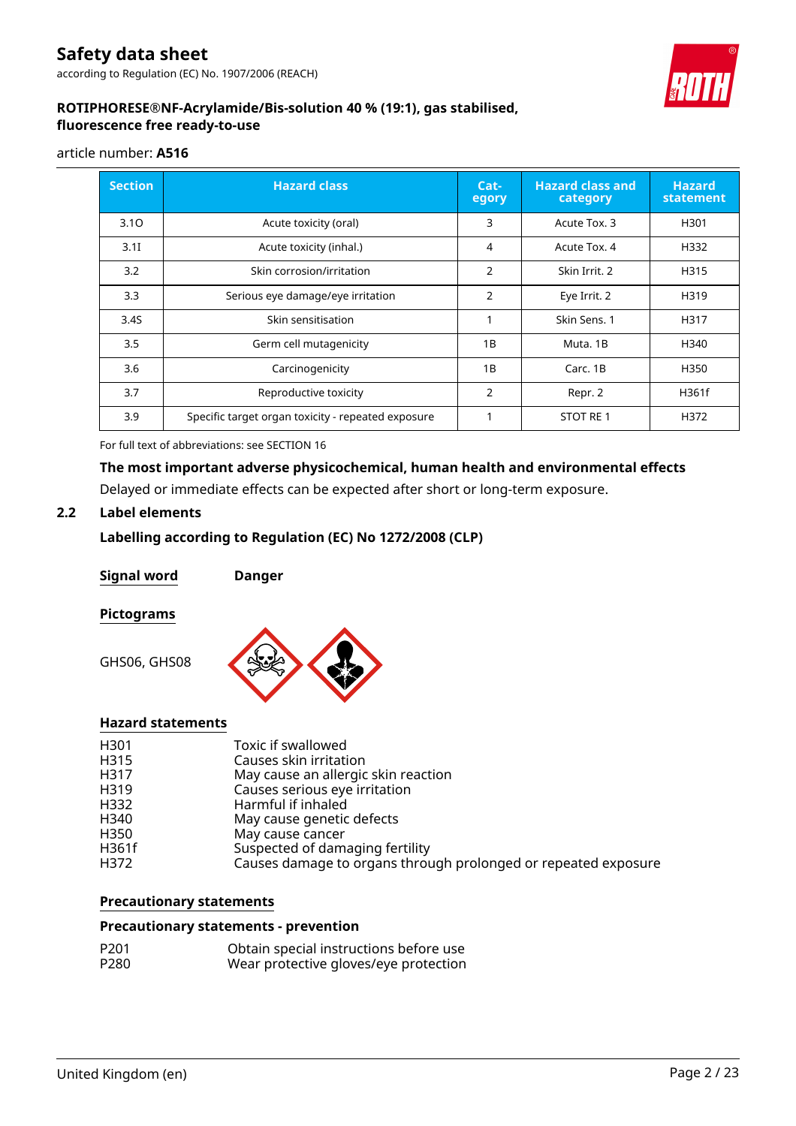according to Regulation (EC) No. 1907/2006 (REACH)



# **ROTIPHORESE®NF-Acrylamide/Bis-solution 40 % (19:1), gas stabilised, fluorescence free ready-to-use**

# article number: **A516**

| <b>Section</b> | <b>Hazard class</b>                                | $Cat-$<br>egory | <b>Hazard class and</b><br>category | <b>Hazard</b><br>statement |
|----------------|----------------------------------------------------|-----------------|-------------------------------------|----------------------------|
| 3.10           | Acute toxicity (oral)                              | 3               | Acute Tox. 3                        | H301                       |
| 3.1I           | Acute toxicity (inhal.)                            | 4               | Acute Tox, 4                        | H332                       |
| 3.2            | Skin corrosion/irritation                          | 2               | Skin Irrit. 2                       | H315                       |
| 3.3            | Serious eye damage/eye irritation                  | $\overline{2}$  | Eye Irrit. 2                        | H319                       |
| 3.4S           | Skin sensitisation                                 | 1               | Skin Sens. 1                        | H317                       |
| 3.5            | Germ cell mutagenicity                             | 1B              | Muta. 1B                            | H340                       |
| 3.6            | Carcinogenicity                                    | 1B              | Carc. 1B                            | H350                       |
| 3.7            | Reproductive toxicity                              | $\overline{2}$  | Repr. 2                             | H361f                      |
| 3.9            | Specific target organ toxicity - repeated exposure |                 | <b>STOT RE1</b>                     | H372                       |

For full text of abbreviations: see SECTION 16

# **The most important adverse physicochemical, human health and environmental effects**

Delayed or immediate effects can be expected after short or long-term exposure.

# **2.2 Label elements**

# **Labelling according to Regulation (EC) No 1272/2008 (CLP)**

**Signal word Danger**

# **Pictograms**

GHS06, GHS08



# **Hazard statements**

| H301  | Toxic if swallowed                                             |
|-------|----------------------------------------------------------------|
| H315  | Causes skin irritation                                         |
| H317  | May cause an allergic skin reaction                            |
| H319  | Causes serious eye irritation                                  |
| H332  | Harmful if inhaled                                             |
| H340  | May cause genetic defects                                      |
| H350  | May cause cancer                                               |
| H361f | Suspected of damaging fertility                                |
| H372  | Causes damage to organs through prolonged or repeated exposure |

# **Precautionary statements**

#### **Precautionary statements - prevention**

| P <sub>201</sub> | Obtain special instructions before use |
|------------------|----------------------------------------|
| P280             | Wear protective gloves/eye protection  |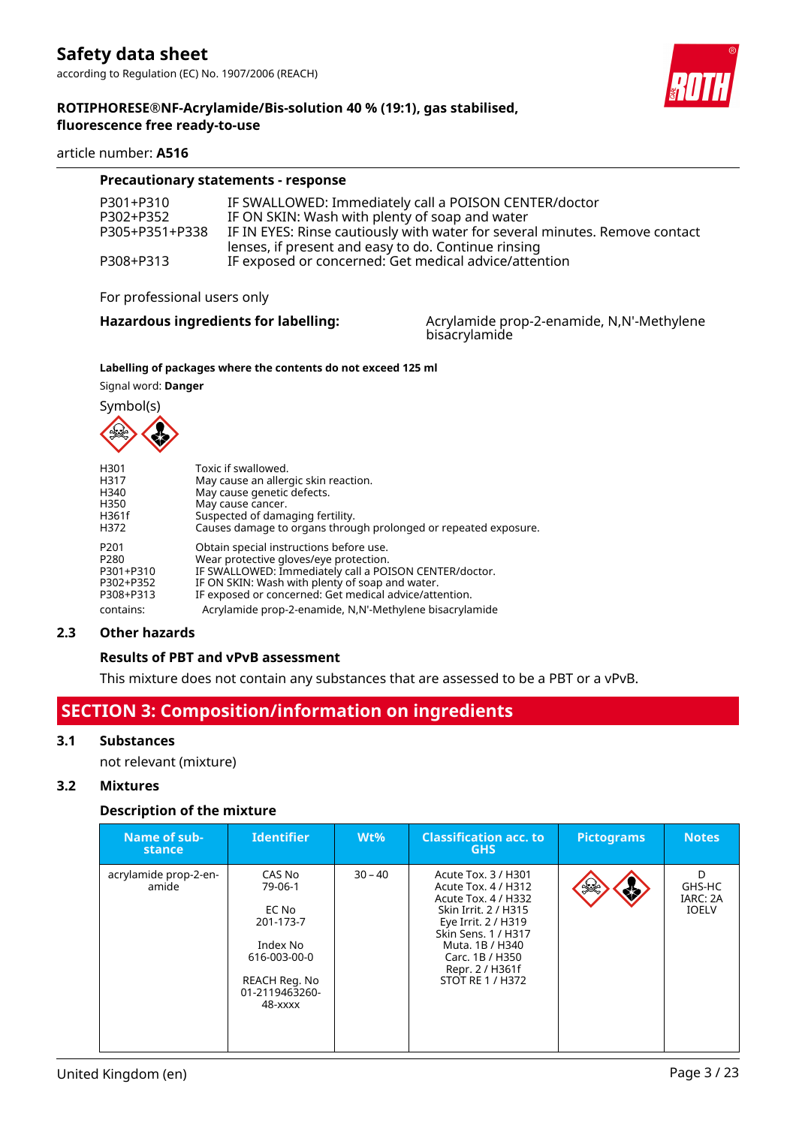#### article number: **A516**

| <b>Precautionary statements - response</b> |                                                                                                                                    |  |  |  |  |
|--------------------------------------------|------------------------------------------------------------------------------------------------------------------------------------|--|--|--|--|
| P301+P310                                  | IF SWALLOWED: Immediately call a POISON CENTER/doctor                                                                              |  |  |  |  |
| P302+P352                                  | IF ON SKIN: Wash with plenty of soap and water                                                                                     |  |  |  |  |
| P305+P351+P338                             | IF IN EYES: Rinse cautiously with water for several minutes. Remove contact<br>lenses, if present and easy to do. Continue rinsing |  |  |  |  |
| P308+P313                                  | IF exposed or concerned: Get medical advice/attention                                                                              |  |  |  |  |

#### For professional users only

Hazardous ingredients for labelling: Acrylamide prop-2-enamide, N,N'-Methylene bisacrylamide

#### **Labelling of packages where the contents do not exceed 125 ml**

Signal word: **Danger**



| H <sub>301</sub> | Toxic if swallowed.                                             |
|------------------|-----------------------------------------------------------------|
| H317             | May cause an allergic skin reaction.                            |
| H <sub>340</sub> | May cause genetic defects.                                      |
| H350             | May cause cancer.                                               |
| H361f            | Suspected of damaging fertility.                                |
| H372             | Causes damage to organs through prolonged or repeated exposure. |
| P <sub>201</sub> | Obtain special instructions before use.                         |
| P <sub>280</sub> | Wear protective gloves/eye protection.                          |
| P301+P310        | IF SWALLOWED: Immediately call a POISON CENTER/doctor.          |
| P302+P352        | IF ON SKIN: Wash with plenty of soap and water.                 |
| P308+P313        | IF exposed or concerned: Get medical advice/attention.          |
| contains:        | Acrylamide prop-2-enamide, N,N'-Methylene bisacrylamide         |

#### **2.3 Other hazards**

# **Results of PBT and vPvB assessment**

This mixture does not contain any substances that are assessed to be a PBT or a vPvB.

# **SECTION 3: Composition/information on ingredients**

# **3.1 Substances**

not relevant (mixture)

# **3.2 Mixtures**

#### **Description of the mixture**

| Name of sub-<br>stance         | <b>Identifier</b>                                                                                                 | $Wt\%$    | <b>Classification acc. to</b><br><b>GHS</b>                                                                                                                                                                          | <b>Pictograms</b> | <b>Notes</b>                            |
|--------------------------------|-------------------------------------------------------------------------------------------------------------------|-----------|----------------------------------------------------------------------------------------------------------------------------------------------------------------------------------------------------------------------|-------------------|-----------------------------------------|
| acrylamide prop-2-en-<br>amide | CAS No<br>79-06-1<br>EC No<br>201-173-7<br>Index No<br>616-003-00-0<br>REACH Reg. No<br>01-2119463260-<br>48-xxxx | $30 - 40$ | Acute Tox. 3 / H301<br>Acute Tox. 4 / H312<br>Acute Tox. 4 / H332<br>Skin Irrit. 2 / H315<br>Eye Irrit. 2 / H319<br>Skin Sens. 1 / H317<br>Muta, 1B / H340<br>Carc. 1B / H350<br>Repr. 2 / H361f<br>STOT RE 1 / H372 | $\mathcal{L}$     | D<br>GHS-HC<br>IARC: 2A<br><b>IOELV</b> |

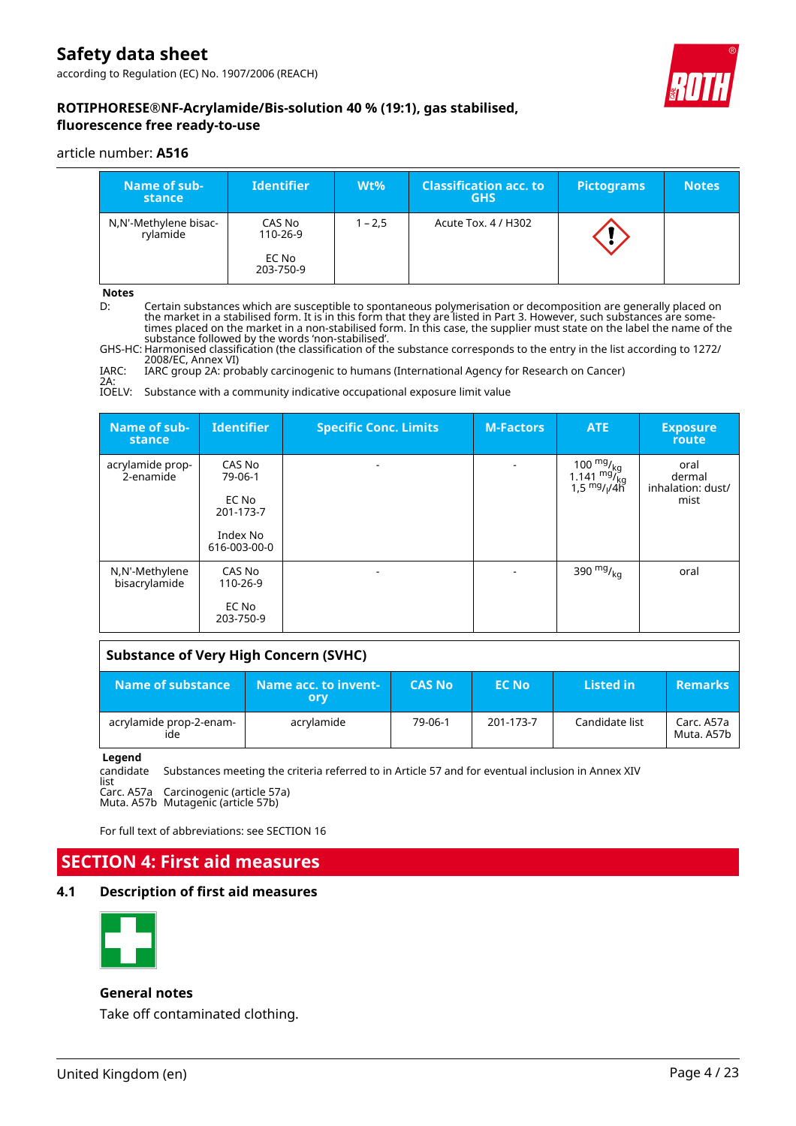according to Regulation (EC) No. 1907/2006 (REACH)



# **ROTIPHORESE®NF-Acrylamide/Bis-solution 40 % (19:1), gas stabilised, fluorescence free ready-to-use**

#### article number: **A516**

| Name of sub-<br>stance            | <b>Identifier</b>                        | $Wt\%$    | <b>Classification acc. to</b><br><b>GHS</b> | <b>Pictograms</b> | <b>Notes</b> |
|-----------------------------------|------------------------------------------|-----------|---------------------------------------------|-------------------|--------------|
| N,N'-Methylene bisac-<br>rylamide | CAS No<br>110-26-9<br>EC No<br>203-750-9 | $1 - 2.5$ | Acute Tox. 4 / H302                         |                   |              |

**Notes**

D: Certain substances which are susceptible to spontaneous polymerisation or decomposition are generally placed on the market in a stabilised form. It is in this form that they are listed in Part 3. However, such substances are sometimes placed on the market in a non-stabilised form. In this case, the supplier must state on the label the name of the substance followed by the words 'non-stabilised'.

GHS-HC: Harmonised classification (the classification of the substance corresponds to the entry in the list according to 1272/ 2008/EC, Annex VI)

IARC: IARC group 2A: probably carcinogenic to humans (International Agency for Research on Cancer)

2A: IOELV: Substance with a community indicative occupational exposure limit value

| Name of sub-<br>stance          | <b>Identifier</b>                                                   | <b>Specific Conc. Limits</b> | <b>M-Factors</b> | ATE                                                               | <b>Exposure</b><br>route                    |
|---------------------------------|---------------------------------------------------------------------|------------------------------|------------------|-------------------------------------------------------------------|---------------------------------------------|
| acrylamide prop-<br>2-enamide   | CAS No<br>79-06-1<br>EC No<br>201-173-7<br>Index No<br>616-003-00-0 |                              |                  | 100 $\frac{mg}{mg}$<br>1.141 $mg/$ <sub>kg</sub><br>1,5 $mg/1/4h$ | oral<br>dermal<br>inhalation: dust/<br>mist |
| N,N'-Methylene<br>bisacrylamide | CAS No<br>110-26-9<br>EC No<br>203-750-9                            |                              |                  | 390 $mg/_{kq}$                                                    | oral                                        |

# **Substance of Very High Concern (SVHC)**

| Name of substance              | Name acc. to invent-<br>orv | <b>CAS No.</b> | <b>EC No</b> | Listed in      | <b>Remarks</b>           |
|--------------------------------|-----------------------------|----------------|--------------|----------------|--------------------------|
| acrylamide prop-2-enam-<br>ide | acrylamide                  | 79-06-1        | 201-173-7    | Candidate list | Carc. A57a<br>Muta. A57b |

#### **Legend**

Substances meeting the criteria referred to in Article 57 and for eventual inclusion in Annex XIV

candidate list Carc. A57a Carcinogenic (article 57a)

Muta. A57b Mutagenic (article 57b)

For full text of abbreviations: see SECTION 16

# **SECTION 4: First aid measures**

# **4.1 Description of first aid measures**



#### **General notes**

Take off contaminated clothing.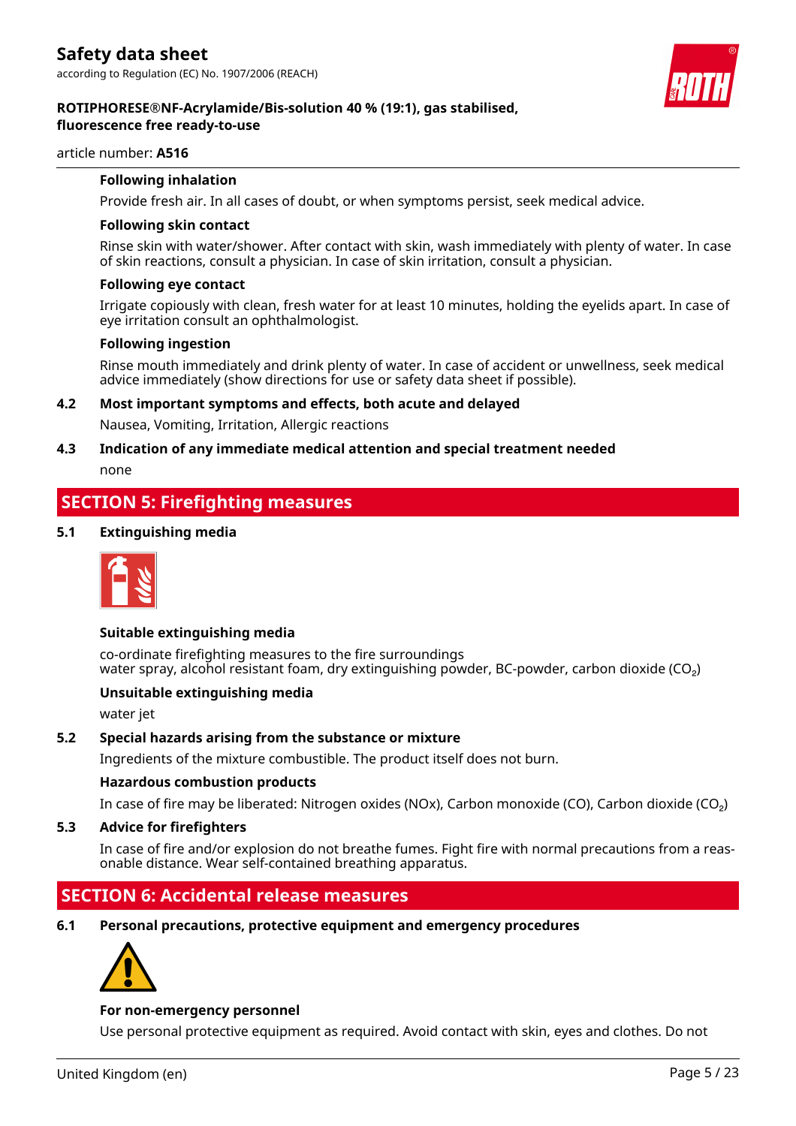

#### article number: **A516**

# **Following inhalation**

Provide fresh air. In all cases of doubt, or when symptoms persist, seek medical advice.

#### **Following skin contact**

Rinse skin with water/shower. After contact with skin, wash immediately with plenty of water. In case of skin reactions, consult a physician. In case of skin irritation, consult a physician.

#### **Following eye contact**

Irrigate copiously with clean, fresh water for at least 10 minutes, holding the eyelids apart. In case of eye irritation consult an ophthalmologist.

#### **Following ingestion**

Rinse mouth immediately and drink plenty of water. In case of accident or unwellness, seek medical advice immediately (show directions for use or safety data sheet if possible).

**4.2 Most important symptoms and effects, both acute and delayed**

Nausea, Vomiting, Irritation, Allergic reactions

# **4.3 Indication of any immediate medical attention and special treatment needed**

none

# **SECTION 5: Firefighting measures**

# **5.1 Extinguishing media**



# **Suitable extinguishing media**

co-ordinate firefighting measures to the fire surroundings water spray, alcohol resistant foam, dry extinguishing powder, BC-powder, carbon dioxide ( $CO<sub>2</sub>$ )

# **Unsuitable extinguishing media**

water jet

# **5.2 Special hazards arising from the substance or mixture**

Ingredients of the mixture combustible. The product itself does not burn.

# **Hazardous combustion products**

In case of fire may be liberated: Nitrogen oxides (NOx), Carbon monoxide (CO), Carbon dioxide (CO₂)

# **5.3 Advice for firefighters**

In case of fire and/or explosion do not breathe fumes. Fight fire with normal precautions from a reasonable distance. Wear self-contained breathing apparatus.

# **SECTION 6: Accidental release measures**

**6.1 Personal precautions, protective equipment and emergency procedures**



# **For non-emergency personnel**

Use personal protective equipment as required. Avoid contact with skin, eyes and clothes. Do not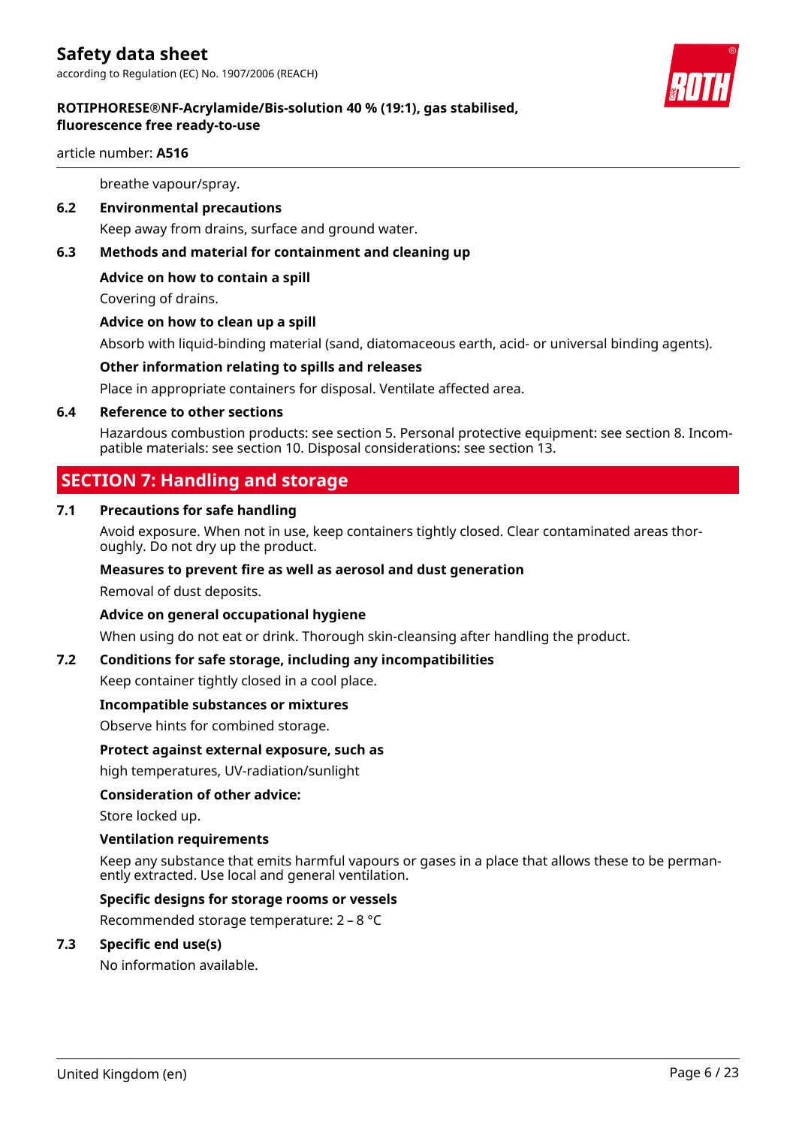

# article number: **A516**

breathe vapour/spray.

**6.2 Environmental precautions**

Keep away from drains, surface and ground water.

**6.3 Methods and material for containment and cleaning up**

# **Advice on how to contain a spill**

Covering of drains.

# **Advice on how to clean up a spill**

Absorb with liquid-binding material (sand, diatomaceous earth, acid- or universal binding agents).

# **Other information relating to spills and releases**

Place in appropriate containers for disposal. Ventilate affected area.

# **6.4 Reference to other sections**

Hazardous combustion products: see section 5. Personal protective equipment: see section 8. Incompatible materials: see section 10. Disposal considerations: see section 13.

# **SECTION 7: Handling and storage**

# **7.1 Precautions for safe handling**

Avoid exposure. When not in use, keep containers tightly closed. Clear contaminated areas thoroughly. Do not dry up the product.

# **Measures to prevent fire as well as aerosol and dust generation**

Removal of dust deposits.

# **Advice on general occupational hygiene**

When using do not eat or drink. Thorough skin-cleansing after handling the product.

# **7.2 Conditions for safe storage, including any incompatibilities**

Keep container tightly closed in a cool place.

# **Incompatible substances or mixtures**

Observe hints for combined storage.

# **Protect against external exposure, such as**

high temperatures, UV-radiation/sunlight

# **Consideration of other advice:**

Store locked up.

# **Ventilation requirements**

Keep any substance that emits harmful vapours or gases in a place that allows these to be permanently extracted. Use local and general ventilation.

# **Specific designs for storage rooms or vessels**

Recommended storage temperature: 2 – 8 °C

# **7.3 Specific end use(s)**

No information available.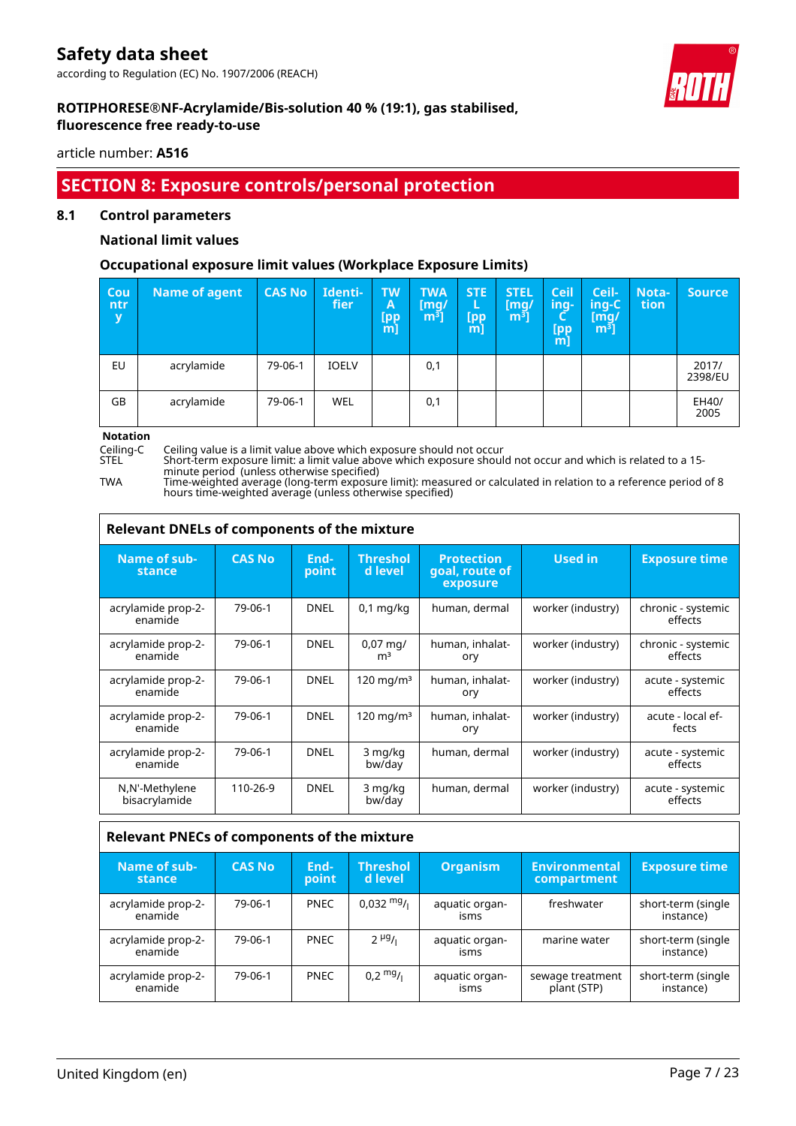according to Regulation (EC) No. 1907/2006 (REACH)



٦

# **ROTIPHORESE®NF-Acrylamide/Bis-solution 40 % (19:1), gas stabilised, fluorescence free ready-to-use**

article number: **A516**

# **SECTION 8: Exposure controls/personal protection**

# **8.1 Control parameters**

# **National limit values**

# **Occupational exposure limit values (Workplace Exposure Limits)**

| Cou<br>ntr<br>y | <b>Name of agent</b> | <b>CAS No</b> | Identi-<br>fier | <b>TW</b><br>A<br><b>[pp</b><br>$m$ ] | <b>TWA</b><br>[mq/<br>$\left[\mathsf{m}^{\mathsf{s}}\right]$ | <b>STE</b><br>Е<br>[pp<br>m] | <b>STEL</b><br>[mq/<br>m <sup>3</sup> | <b>Ceil</b><br>ing-<br>Ч<br>[pp<br>m] | Ceil-<br>ing-C<br>[mg/<br>$\mathsf{m}^{\mathsf{s}}$ ไ | <b>Nota-</b><br>tion | Source           |
|-----------------|----------------------|---------------|-----------------|---------------------------------------|--------------------------------------------------------------|------------------------------|---------------------------------------|---------------------------------------|-------------------------------------------------------|----------------------|------------------|
| EU              | acrylamide           | 79-06-1       | <b>IOELV</b>    |                                       | 0,1                                                          |                              |                                       |                                       |                                                       |                      | 2017/<br>2398/EU |
| GB              | acrylamide           | 79-06-1       | <b>WEL</b>      |                                       | 0,1                                                          |                              |                                       |                                       |                                                       |                      | EH40/<br>2005    |

**Notation**<br>Ceiling-C<br>STEL

Г

Ceiling-C Ceiling value is a limit value above which exposure should not occur

STEL Short-term exposure limit: a limit value above which exposure should not occur and which is related to a 15 minute period (unless otherwise specified)

TWA Time-weighted average (long-term exposure limit): measured or calculated in relation to a reference period of 8 hours time-weighted average (unless otherwise specified)

| Relevant DNELs of components of the mixture        |               |               |                                        |                                                 |                   |                               |  |  |  |
|----------------------------------------------------|---------------|---------------|----------------------------------------|-------------------------------------------------|-------------------|-------------------------------|--|--|--|
| Name of sub-<br>stance                             | <b>CAS No</b> | End-<br>point | <b>Threshol</b><br>d level             | <b>Protection</b><br>goal, route of<br>exposure | <b>Used in</b>    | <b>Exposure time</b>          |  |  |  |
| acrylamide prop-2-<br>enamide                      | 79-06-1       | <b>DNEL</b>   | $0,1$ mg/kg                            | human, dermal                                   | worker (industry) | chronic - systemic<br>effects |  |  |  |
| acrylamide prop-2-<br>enamide                      | 79-06-1       | <b>DNEL</b>   | $0.07 \,\mathrm{mq}$<br>m <sup>3</sup> | human, inhalat-<br>ory                          | worker (industry) | chronic - systemic<br>effects |  |  |  |
| acrylamide prop-2-<br>enamide                      | 79-06-1       | <b>DNEL</b>   | $120 \text{ mg/m}^3$                   | human, inhalat-<br>ory                          | worker (industry) | acute - systemic<br>effects   |  |  |  |
| acrylamide prop-2-<br>enamide                      | 79-06-1       | <b>DNEL</b>   | $120 \text{ mg/m}^3$                   | human, inhalat-<br>ory                          | worker (industry) | acute - local ef-<br>fects    |  |  |  |
| acrylamide prop-2-<br>enamide                      | 79-06-1       | <b>DNEL</b>   | 3 mg/kg<br>bw/day                      | human, dermal                                   | worker (industry) | acute - systemic<br>effects   |  |  |  |
| N,N'-Methylene<br>bisacrylamide                    | 110-26-9      | <b>DNEL</b>   | 3 mg/kg<br>bw/day                      | human, dermal                                   | worker (industry) | acute - systemic<br>effects   |  |  |  |
| <b>Dolovant DNECs of components of the mixture</b> |               |               |                                        |                                                 |                   |                               |  |  |  |

| Relevant PNECS OF Components of the mixture |               |               |                            |                        |                                     |                                 |
|---------------------------------------------|---------------|---------------|----------------------------|------------------------|-------------------------------------|---------------------------------|
| Name of sub-<br>stance                      | <b>CAS No</b> | End-<br>point | <b>Threshol</b><br>d level | <b>Organism</b>        | <b>Environmental</b><br>compartment | <b>Exposure time</b>            |
| acrylamide prop-2-<br>enamide               | 79-06-1       | <b>PNEC</b>   | $0,032 \frac{mg}{l}$       | aquatic organ-<br>isms | freshwater                          | short-term (single<br>instance) |
| acrylamide prop-2-<br>enamide               | 79-06-1       | <b>PNEC</b>   | $2 \mu g / \mu$            | aquatic organ-<br>isms | marine water                        | short-term (single<br>instance) |
| acrylamide prop-2-<br>enamide               | 79-06-1       | <b>PNEC</b>   | $0.2 \frac{mg}{l}$         | aquatic organ-<br>isms | sewage treatment<br>plant (STP)     | short-term (single<br>instance) |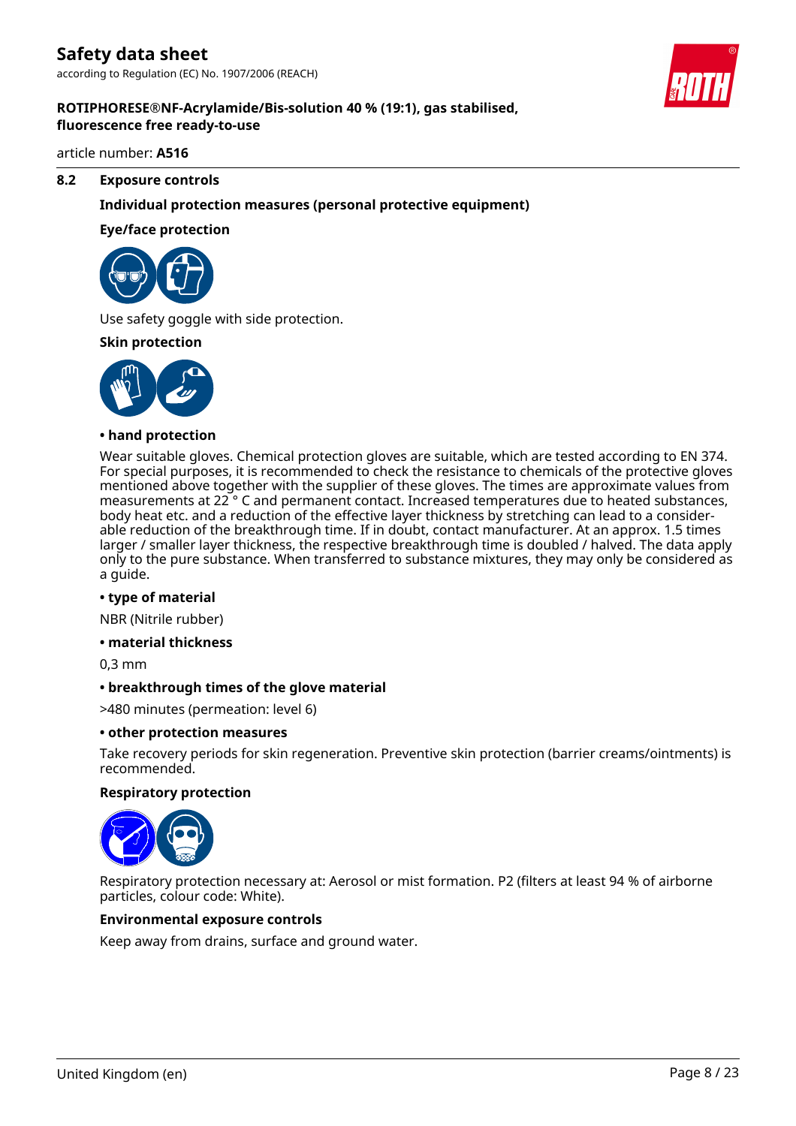

#### article number: **A516**

#### **8.2 Exposure controls**

# **Individual protection measures (personal protective equipment)**

#### **Eye/face protection**



Use safety goggle with side protection.

#### **Skin protection**



#### **• hand protection**

Wear suitable gloves. Chemical protection gloves are suitable, which are tested according to EN 374. For special purposes, it is recommended to check the resistance to chemicals of the protective gloves mentioned above together with the supplier of these gloves. The times are approximate values from measurements at 22 ° C and permanent contact. Increased temperatures due to heated substances, body heat etc. and a reduction of the effective layer thickness by stretching can lead to a considerable reduction of the breakthrough time. If in doubt, contact manufacturer. At an approx. 1.5 times larger / smaller layer thickness, the respective breakthrough time is doubled / halved. The data apply only to the pure substance. When transferred to substance mixtures, they may only be considered as a guide.

#### **• type of material**

NBR (Nitrile rubber)

#### **• material thickness**

0,3 mm

#### **• breakthrough times of the glove material**

>480 minutes (permeation: level 6)

#### **• other protection measures**

Take recovery periods for skin regeneration. Preventive skin protection (barrier creams/ointments) is recommended.

#### **Respiratory protection**



Respiratory protection necessary at: Aerosol or mist formation. P2 (filters at least 94 % of airborne particles, colour code: White).

#### **Environmental exposure controls**

Keep away from drains, surface and ground water.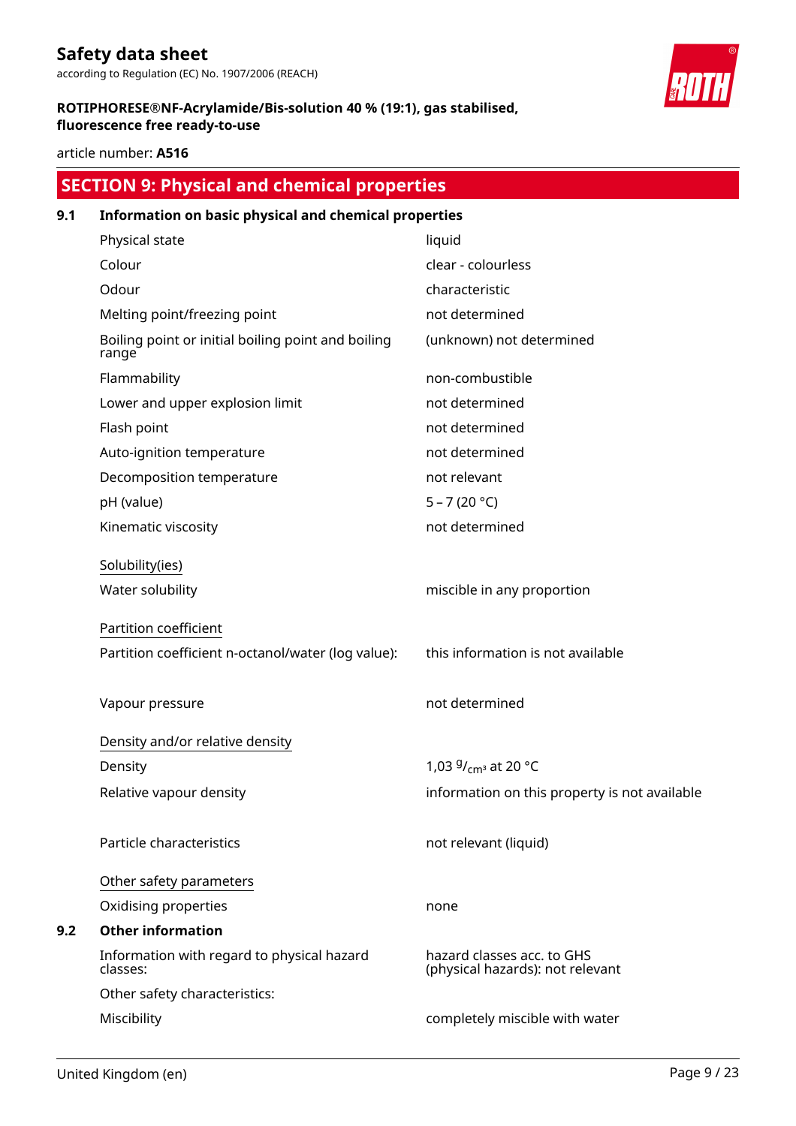according to Regulation (EC) No. 1907/2006 (REACH)

# **ROTIPHORESE®NF-Acrylamide/Bis-solution 40 % (19:1), gas stabilised, fluorescence free ready-to-use**

article number: **A516**

# **SECTION 9: Physical and chemical properties 9.1 Information on basic physical and chemical properties** Physical state liquid Colour clear - colourless Odour characteristic Melting point/freezing point not determined Boiling point or initial boiling point and boiling range (unknown) not determined Flammability non-combustible Lower and upper explosion limit not determined Flash point **not determined** Auto-ignition temperature not determined Decomposition temperature not relevant pH (value) 5 – 7 (20 °C) Kinematic viscosity not determined Solubility(ies) Water solubility **Mischl** miscible in any proportion Partition coefficient Partition coefficient n-octanol/water (log value): this information is not available Vapour pressure not determined Density and/or relative density Density 1,03  $9/cm^3$  at 20 °C Relative vapour density information on this property is not available Particle characteristics not relevant (liquid) Other safety parameters Oxidising properties none **9.2 Other information** Information with regard to physical hazard classes: hazard classes acc. to GHS (physical hazards): not relevant Other safety characteristics: Miscibility completely miscible with water

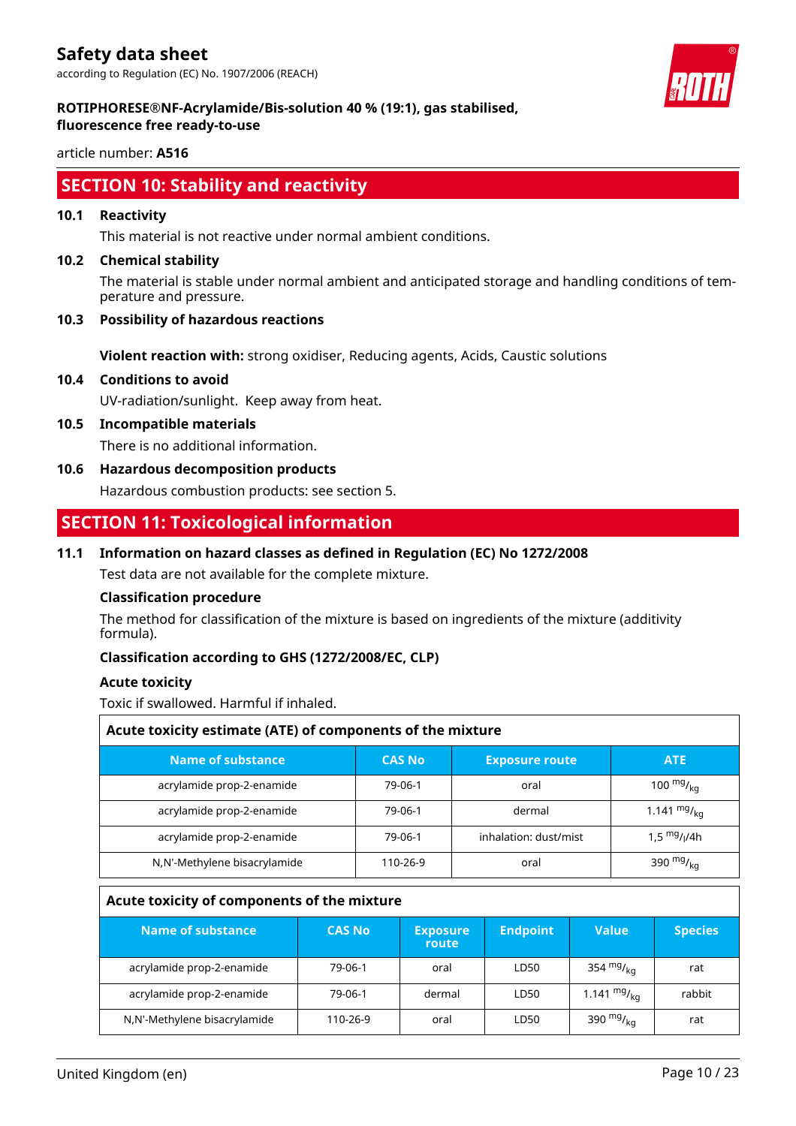according to Regulation (EC) No. 1907/2006 (REACH)



#### **ROTIPHORESE®NF-Acrylamide/Bis-solution 40 % (19:1), gas stabilised, fluorescence free ready-to-use**

article number: **A516**

# **SECTION 10: Stability and reactivity**

# **10.1 Reactivity**

This material is not reactive under normal ambient conditions.

# **10.2 Chemical stability**

The material is stable under normal ambient and anticipated storage and handling conditions of temperature and pressure.

# **10.3 Possibility of hazardous reactions**

**Violent reaction with:** strong oxidiser, Reducing agents, Acids, Caustic solutions

**10.4 Conditions to avoid**

UV-radiation/sunlight. Keep away from heat.

**10.5 Incompatible materials**

There is no additional information.

**10.6 Hazardous decomposition products**

Hazardous combustion products: see section 5.

# **SECTION 11: Toxicological information**

# **11.1 Information on hazard classes as defined in Regulation (EC) No 1272/2008**

Test data are not available for the complete mixture.

# **Classification procedure**

The method for classification of the mixture is based on ingredients of the mixture (additivity formula).

# **Classification according to GHS (1272/2008/EC, CLP)**

# **Acute toxicity**

Toxic if swallowed. Harmful if inhaled.

| Acute toxicity estimate (ATE) of components of the mixture |               |                       |                  |  |  |  |
|------------------------------------------------------------|---------------|-----------------------|------------------|--|--|--|
| Name of substance                                          | <b>CAS No</b> | <b>Exposure route</b> | <b>ATE</b>       |  |  |  |
| acrylamide prop-2-enamide                                  | 79-06-1       | oral                  | 100 $mg/_{kq}$   |  |  |  |
| acrylamide prop-2-enamide                                  | 79-06-1       | dermal                | 1.141 $mg/_{kq}$ |  |  |  |
| acrylamide prop-2-enamide                                  | 79-06-1       | inhalation: dust/mist | 1,5 $mg/1/4h$    |  |  |  |
| N,N'-Methylene bisacrylamide                               | 110-26-9      | oral                  | 390 $mg/_{kq}$   |  |  |  |

# **Acute toxicity of components of the mixture**

| Name of substance            | <b>CAS No</b> | <b>Exposure</b><br>route | <b>Endpoint</b> | Value            | <b>Species</b> |
|------------------------------|---------------|--------------------------|-----------------|------------------|----------------|
| acrylamide prop-2-enamide    | 79-06-1       | oral                     | LD50            | 354 $mg/kq$      | rat            |
| acrylamide prop-2-enamide    | 79-06-1       | dermal                   | LD50            | 1.141 $mg/_{ka}$ | rabbit         |
| N,N'-Methylene bisacrylamide | 110-26-9      | oral                     | LD50            | 390 $mg/kq$      | rat            |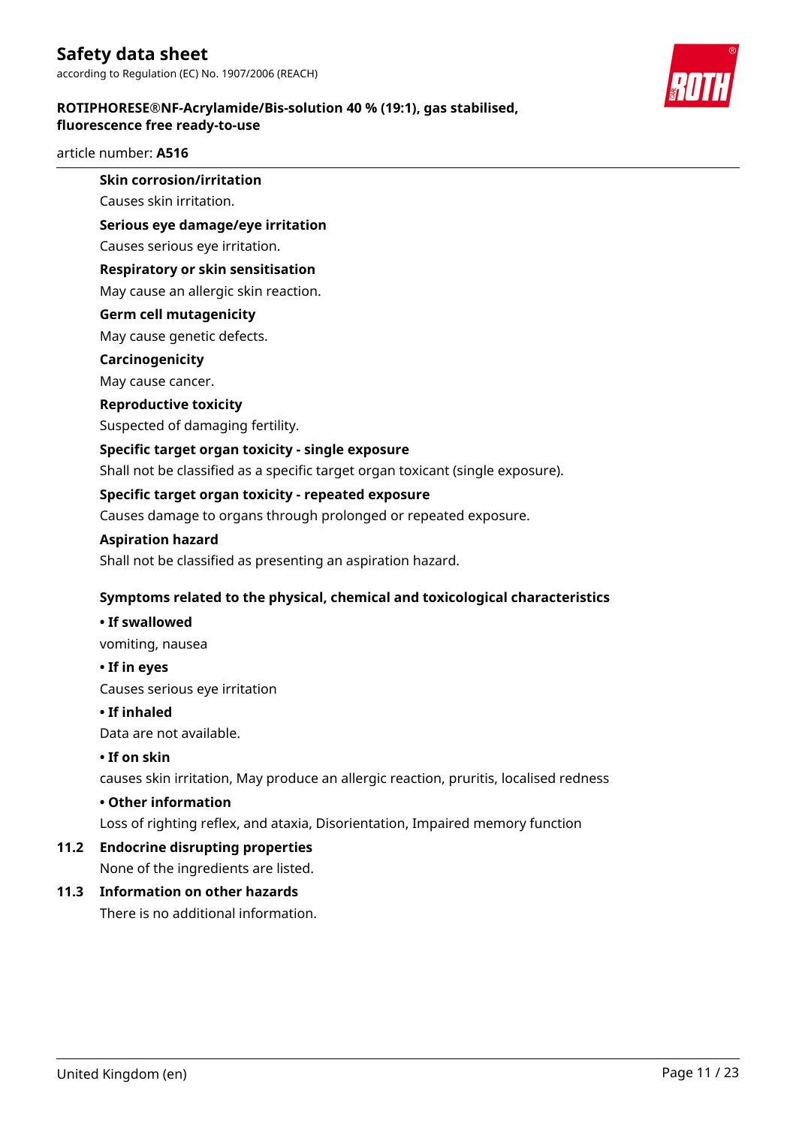# **ROTIPHORESE®NF-Acrylamide/Bis-solution 40 % (19:1), gas stabilised, fluorescence free ready-to-use**

# article number: **A516**

# **Skin corrosion/irritation**

Causes skin irritation.

# **Serious eye damage/eye irritation**

Causes serious eye irritation.

# **Respiratory or skin sensitisation**

May cause an allergic skin reaction.

# **Germ cell mutagenicity**

May cause genetic defects.

# **Carcinogenicity**

May cause cancer.

# **Reproductive toxicity**

Suspected of damaging fertility.

# **Specific target organ toxicity - single exposure**

Shall not be classified as a specific target organ toxicant (single exposure).

# **Specific target organ toxicity - repeated exposure**

Causes damage to organs through prolonged or repeated exposure.

# **Aspiration hazard**

Shall not be classified as presenting an aspiration hazard.

# **Symptoms related to the physical, chemical and toxicological characteristics**

# **• If swallowed**

vomiting, nausea

# **• If in eyes**

Causes serious eye irritation

# **• If inhaled**

Data are not available.

# **• If on skin**

causes skin irritation, May produce an allergic reaction, pruritis, localised redness

# **• Other information**

Loss of righting reflex, and ataxia, Disorientation, Impaired memory function

# **11.2 Endocrine disrupting properties**

None of the ingredients are listed.

# **11.3 Information on other hazards**

There is no additional information.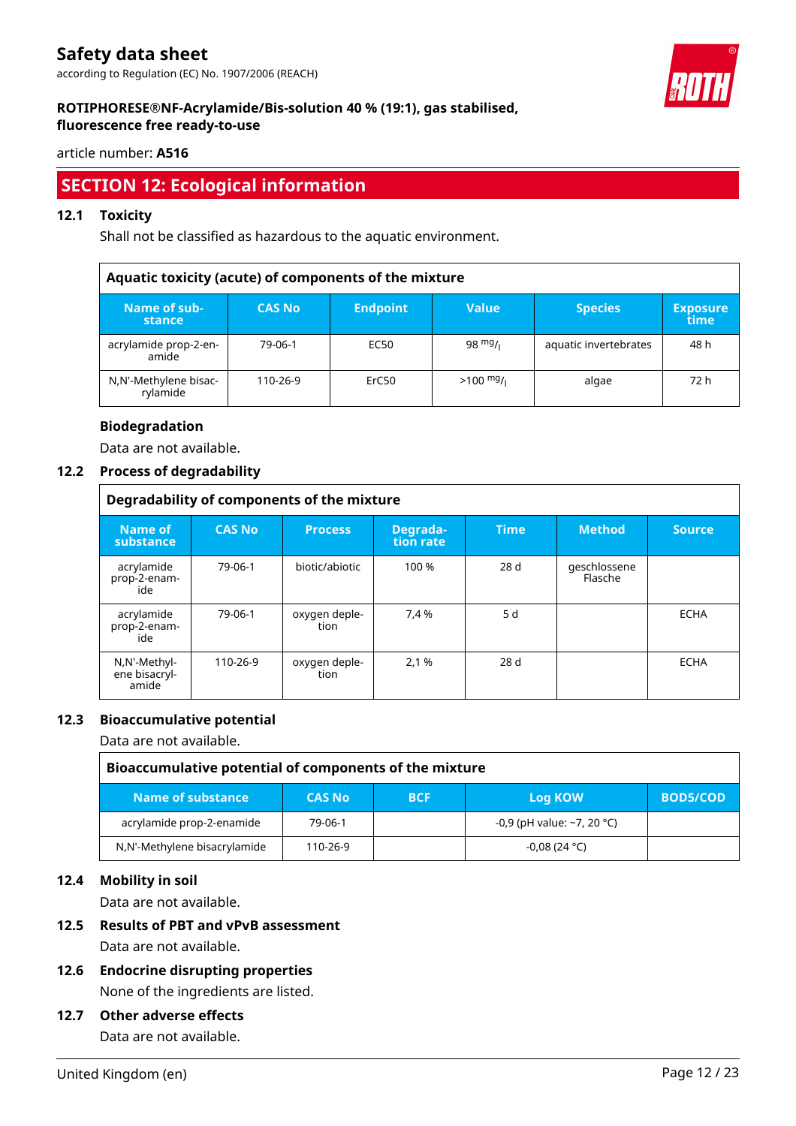according to Regulation (EC) No. 1907/2006 (REACH)



# **ROTIPHORESE®NF-Acrylamide/Bis-solution 40 % (19:1), gas stabilised, fluorescence free ready-to-use**

article number: **A516**

# **SECTION 12: Ecological information**

# **12.1 Toxicity**

Shall not be classified as hazardous to the aquatic environment.

|                                   | Aquatic toxicity (acute) of components of the mixture |                 |                     |                       |                         |  |  |
|-----------------------------------|-------------------------------------------------------|-----------------|---------------------|-----------------------|-------------------------|--|--|
| Name of sub-<br>stance            | <b>CAS No</b>                                         | <b>Endpoint</b> | <b>Value</b>        | <b>Species</b>        | <b>Exposure</b><br>time |  |  |
| acrylamide prop-2-en-<br>amide    | 79-06-1                                               | EC50            | $98 \frac{mg}{l}$   | aquatic invertebrates | 48 h                    |  |  |
| N,N'-Methylene bisac-<br>rylamide | 110-26-9                                              | ErC50           | $>100 \frac{mg}{l}$ | algae                 | 72 h                    |  |  |

# **Biodegradation**

Data are not available.

# **12.2 Process of degradability**

|                                        | Degradability of components of the mixture |                       |                       |             |                         |               |  |  |
|----------------------------------------|--------------------------------------------|-----------------------|-----------------------|-------------|-------------------------|---------------|--|--|
| Name of<br>substance                   | <b>CAS No</b>                              | <b>Process</b>        | Degrada-<br>tion rate | <b>Time</b> | <b>Method</b>           | <b>Source</b> |  |  |
| acrylamide<br>prop-2-enam-<br>ide      | 79-06-1                                    | biotic/abiotic        | 100 %                 | 28 d        | geschlossene<br>Flasche |               |  |  |
| acrylamide<br>prop-2-enam-<br>ide      | 79-06-1                                    | oxygen deple-<br>tion | 7,4 %                 | 5 d         |                         | <b>ECHA</b>   |  |  |
| N,N'-Methyl-<br>ene bisacryl-<br>amide | 110-26-9                                   | oxygen deple-<br>tion | 2,1 %                 | 28 d        |                         | <b>ECHA</b>   |  |  |

# **12.3 Bioaccumulative potential**

Data are not available.

| Bioaccumulative potential of components of the mixture |               |            |                                  |                 |  |  |  |
|--------------------------------------------------------|---------------|------------|----------------------------------|-----------------|--|--|--|
| Name of substance ,                                    | <b>CAS No</b> | <b>BCF</b> | Log KOW                          | <b>BOD5/COD</b> |  |  |  |
| acrylamide prop-2-enamide                              | 79-06-1       |            | -0,9 (pH value: $\sim$ 7, 20 °C) |                 |  |  |  |
| N,N'-Methylene bisacrylamide                           | 110-26-9      |            | $-0.08(24 °C)$                   |                 |  |  |  |

# **12.4 Mobility in soil**

Data are not available.

# **12.5 Results of PBT and vPvB assessment**

Data are not available.

**12.6 Endocrine disrupting properties** None of the ingredients are listed.

# **12.7 Other adverse effects**

Data are not available.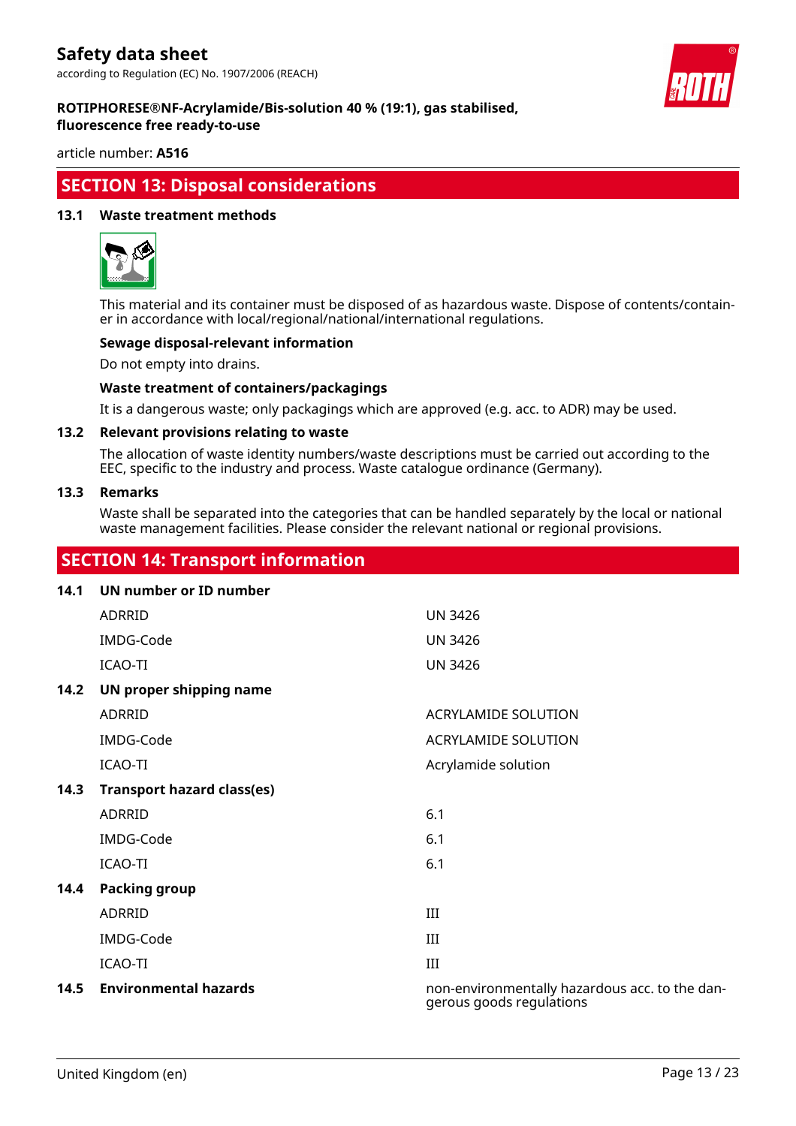

#### **ROTIPHORESE®NF-Acrylamide/Bis-solution 40 % (19:1), gas stabilised, fluorescence free ready-to-use**

article number: **A516**

# **SECTION 13: Disposal considerations**

# **13.1 Waste treatment methods**



This material and its container must be disposed of as hazardous waste. Dispose of contents/container in accordance with local/regional/national/international regulations.

# **Sewage disposal-relevant information**

Do not empty into drains.

#### **Waste treatment of containers/packagings**

It is a dangerous waste; only packagings which are approved (e.g. acc. to ADR) may be used.

#### **13.2 Relevant provisions relating to waste**

The allocation of waste identity numbers/waste descriptions must be carried out according to the EEC, specific to the industry and process. Waste catalogue ordinance (Germany).

#### **13.3 Remarks**

Waste shall be separated into the categories that can be handled separately by the local or national waste management facilities. Please consider the relevant national or regional provisions.

# **SECTION 14: Transport information**

# **14.1 UN number or ID number**

|      | <b>ADRRID</b>                     | <b>UN 3426</b>                                                             |
|------|-----------------------------------|----------------------------------------------------------------------------|
|      | IMDG-Code                         | <b>UN 3426</b>                                                             |
|      | ICAO-TI                           | <b>UN 3426</b>                                                             |
| 14.2 | UN proper shipping name           |                                                                            |
|      | ADRRID                            | <b>ACRYLAMIDE SOLUTION</b>                                                 |
|      | IMDG-Code                         | <b>ACRYLAMIDE SOLUTION</b>                                                 |
|      | ICAO-TI                           | Acrylamide solution                                                        |
| 14.3 | <b>Transport hazard class(es)</b> |                                                                            |
|      | ADRRID                            | 6.1                                                                        |
|      | IMDG-Code                         | 6.1                                                                        |
|      | ICAO-TI                           | 6.1                                                                        |
| 14.4 | <b>Packing group</b>              |                                                                            |
|      | ADRRID                            | III                                                                        |
|      | IMDG-Code                         | III                                                                        |
|      | ICAO-TI                           | III                                                                        |
| 14.5 | <b>Environmental hazards</b>      | non-environmentally hazardous acc. to the dan-<br>gerous goods regulations |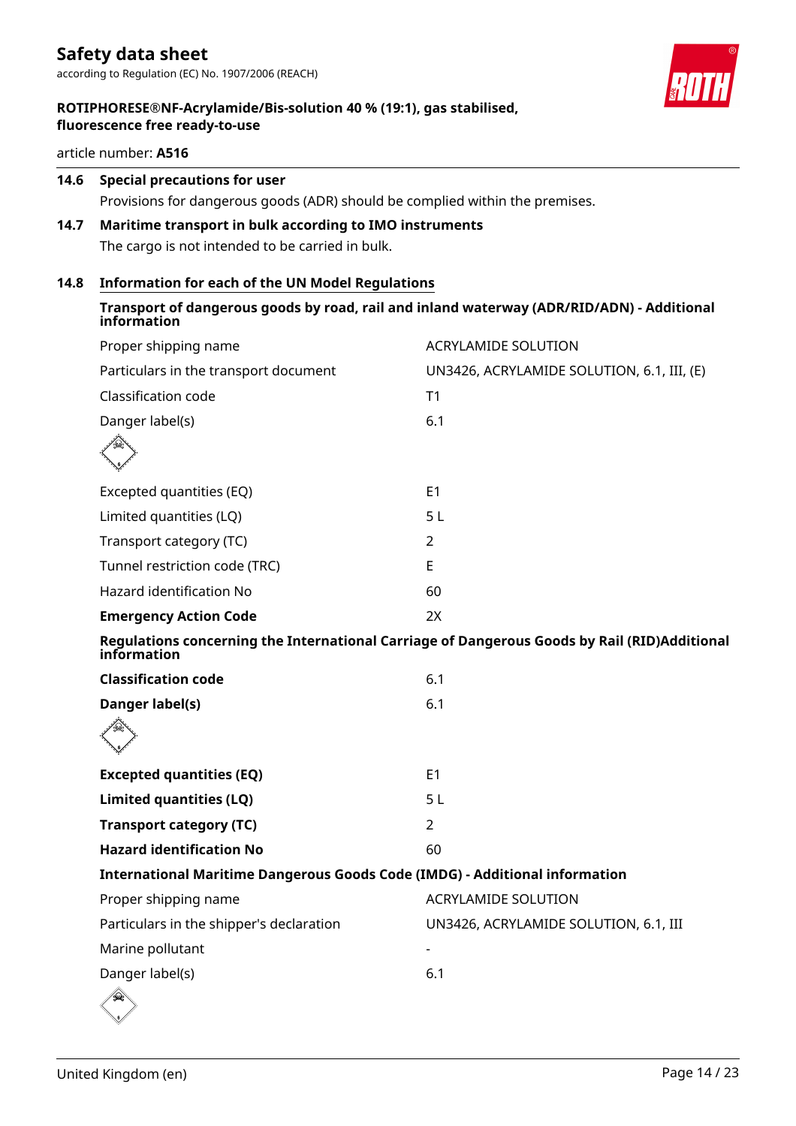

article number: **A516**

# **14.6 Special precautions for user**

Provisions for dangerous goods (ADR) should be complied within the premises.

# **14.7 Maritime transport in bulk according to IMO instruments**

The cargo is not intended to be carried in bulk.

# **14.8 Information for each of the UN Model Regulations**

| Transport of dangerous goods by road, rail and inland waterway (ADR/RID/ADN) - Additional<br>information |                                            |
|----------------------------------------------------------------------------------------------------------|--------------------------------------------|
| Proper shipping name                                                                                     | <b>ACRYLAMIDE SOLUTION</b>                 |
| Particulars in the transport document                                                                    | UN3426, ACRYLAMIDE SOLUTION, 6.1, III, (E) |
| Classification code                                                                                      | T1                                         |
| Danger label(s)                                                                                          | 6.1                                        |
|                                                                                                          |                                            |
| Excepted quantities (EQ)                                                                                 | E <sub>1</sub>                             |
| Limited quantities (LQ)                                                                                  | 5L                                         |
| Transport category (TC)                                                                                  | 2                                          |
| Tunnel restriction code (TRC)                                                                            | E                                          |
| Hazard identification No                                                                                 | 60                                         |
| <b>Emergency Action Code</b>                                                                             | 2X                                         |
| Regulations concerning the International Carriage of Dangerous Goods by Rail (RID)Additional             |                                            |

| information                                                                        |                                       |
|------------------------------------------------------------------------------------|---------------------------------------|
| <b>Classification code</b>                                                         | 6.1                                   |
| Danger label(s)                                                                    | 6.1                                   |
|                                                                                    |                                       |
| <b>Excepted quantities (EQ)</b>                                                    | E <sub>1</sub>                        |
| Limited quantities (LQ)                                                            | 5 <sub>L</sub>                        |
| <b>Transport category (TC)</b>                                                     | 2                                     |
| <b>Hazard identification No</b>                                                    | 60                                    |
| <b>International Maritime Dangerous Goods Code (IMDG) - Additional information</b> |                                       |
| Proper shipping name                                                               | <b>ACRYLAMIDE SOLUTION</b>            |
| Particulars in the shipper's declaration                                           | UN3426, ACRYLAMIDE SOLUTION, 6.1, III |
| Marine pollutant                                                                   |                                       |
| Danger label(s)                                                                    | 6.1                                   |
| €                                                                                  |                                       |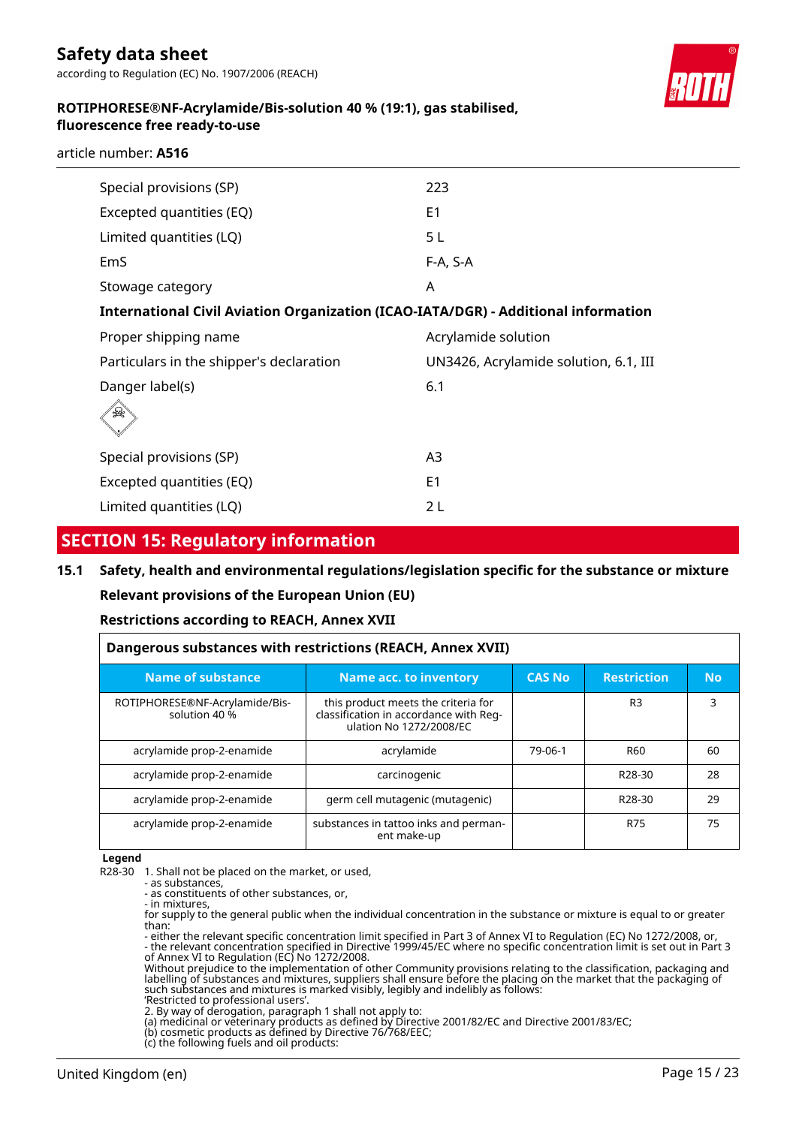according to Regulation (EC) No. 1907/2006 (REACH)



# **ROTIPHORESE®NF-Acrylamide/Bis-solution 40 % (19:1), gas stabilised, fluorescence free ready-to-use**

article number: **A516**

| Special provisions (SP)                                                            | 223                                   |
|------------------------------------------------------------------------------------|---------------------------------------|
| Excepted quantities (EQ)                                                           | E <sub>1</sub>                        |
| Limited quantities (LQ)                                                            | 5L                                    |
| EmS                                                                                | F-A, S-A                              |
| Stowage category                                                                   | A                                     |
| International Civil Aviation Organization (ICAO-IATA/DGR) - Additional information |                                       |
| Proper shipping name                                                               | Acrylamide solution                   |
| Particulars in the shipper's declaration                                           | UN3426, Acrylamide solution, 6.1, III |
| Danger label(s)                                                                    | 6.1                                   |
|                                                                                    |                                       |
| Special provisions (SP)                                                            | A3                                    |
| Excepted quantities (EQ)                                                           | E <sub>1</sub>                        |
| Limited quantities (LQ)                                                            | 2 L                                   |

# **SECTION 15: Regulatory information**

# **15.1 Safety, health and environmental regulations/legislation specific for the substance or mixture Relevant provisions of the European Union (EU)**

# **Restrictions according to REACH, Annex XVII**

| Dangerous substances with restrictions (REACH, Annex XVII) |                                                                                                          |         |                     |           |  |  |  |
|------------------------------------------------------------|----------------------------------------------------------------------------------------------------------|---------|---------------------|-----------|--|--|--|
| <b>Name of substance</b>                                   | <b>Name acc. to inventory</b><br><b>CAS No</b>                                                           |         | <b>Restriction</b>  | <b>No</b> |  |  |  |
| ROTIPHORESE®NF-Acrylamide/Bis-<br>solution 40 %            | this product meets the criteria for<br>classification in accordance with Reg-<br>ulation No 1272/2008/EC |         | R <sub>3</sub>      | 3         |  |  |  |
| acrylamide prop-2-enamide                                  | acrylamide                                                                                               | 79-06-1 | R60                 | 60        |  |  |  |
| acrylamide prop-2-enamide                                  | carcinogenic                                                                                             |         | R <sub>28</sub> -30 | 28        |  |  |  |
| acrylamide prop-2-enamide                                  | germ cell mutagenic (mutagenic)                                                                          |         | R <sub>28</sub> -30 | 29        |  |  |  |
| acrylamide prop-2-enamide                                  | substances in tattoo inks and perman-<br>ent make-up                                                     |         | R75                 | 75        |  |  |  |

#### **Legend**

R28-30 1. Shall not be placed on the market, or used,

- as substances - as constituents of other substances, or,

- in mixtures,

for supply to the general public when the individual concentration in the substance or mixture is equal to or greater than:

- either the relevant specific concentration limit specified in Part 3 of Annex VI to Regulation (EC) No 1272/2008, or, - the relevant concentration specified in Directive 1999/45/EC where no specific concentration limit is set out in Part 3 of Annex VI to Regulation (EC) No 1272/2008.

Without prejudice to the implementation of other Community provisions relating to the classification, packaging and labelling of substances and mixtures, suppliers shall ensure before the placing on the market that the packaging of such substances and mixtures is marked visibly, legibly and indelibly as follows:

'Restricted to professional users'. 2. By way of derogation, paragraph 1 shall not apply to:

(a) medicinal or veterinary products as defined by Directive 2001/82/EC and Directive 2001/83/EC;

(b) cosmetic products as defined by Directive 76/768/EEC;

(c) the following fuels and oil products: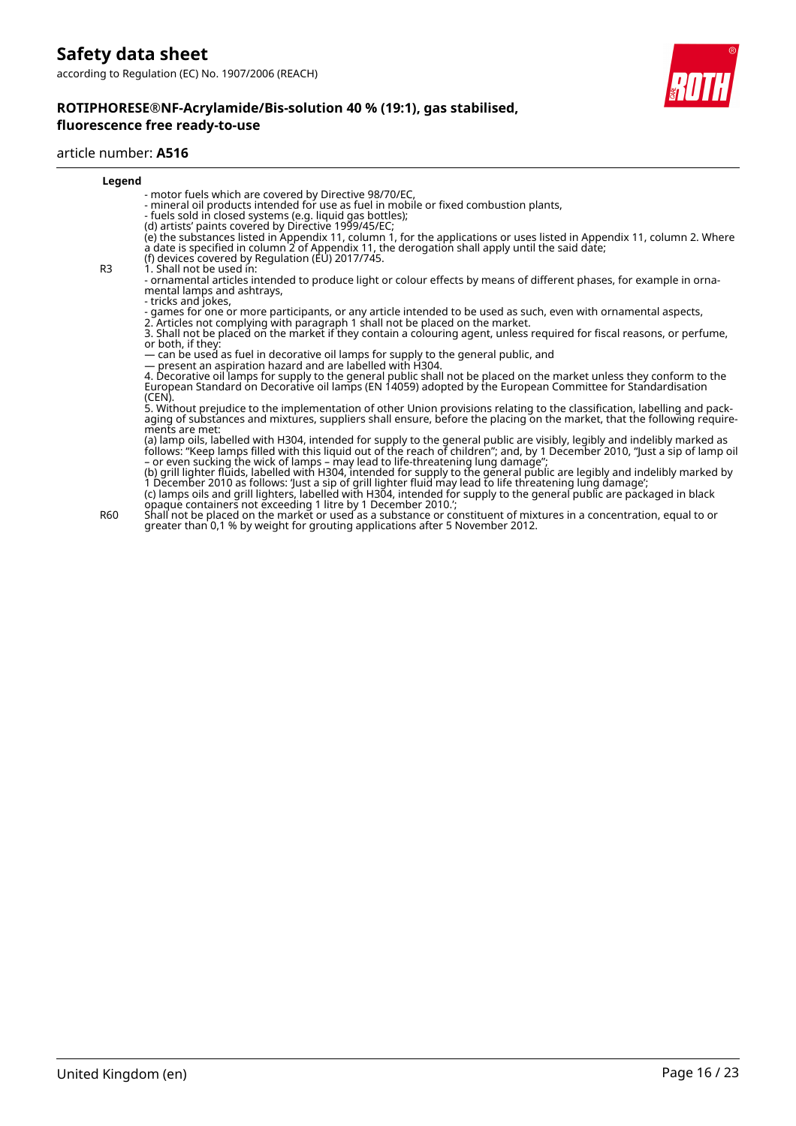

#### article number: **A516**

| Legend         |                                                                                                                                                                                                                                   |
|----------------|-----------------------------------------------------------------------------------------------------------------------------------------------------------------------------------------------------------------------------------|
|                | - motor fuels which are covered by Directive 98/70/EC,                                                                                                                                                                            |
|                | - mineral oil products intended for use as fuel in mobile or fixed combustion plants,                                                                                                                                             |
|                | - fuels sold in closed systems (e.g. liquid gas bottles);                                                                                                                                                                         |
|                | (d) artists' paints covered by Directive 1999/45/EC;                                                                                                                                                                              |
|                | (e) the substances listed in Appendix 11, column 1, for the applications or uses listed in Appendix 11, column 2. Where<br>a date is specified in column 2 of Appendix 11, the derogation shall apply until the said date;        |
|                | (f) devices covered by Regulation (EU) 2017/745.                                                                                                                                                                                  |
| R <sub>3</sub> | 1. Shall not be used in:                                                                                                                                                                                                          |
|                | - ornamental articles intended to produce light or colour effects by means of different phases, for example in orna-<br>mental lamps and ashtrays,                                                                                |
|                | - tricks and jokes,                                                                                                                                                                                                               |
|                | - games for one or more participants, or any article intended to be used as such, even with ornamental aspects,                                                                                                                   |
|                | 2. Articles not complying with paragraph 1 shall not be placed on the market.                                                                                                                                                     |
|                | 3. Shall not be placed on the market if they contain a colouring agent, unless required for fiscal reasons, or perfume,<br>or both, if they:                                                                                      |
|                | — can be used as fuel in decorative oil lamps for supply to the general public, and                                                                                                                                               |
|                | - present an aspiration hazard and are labelled with H304.                                                                                                                                                                        |
|                | 4. Decorative oil lamps for supply to the general public shall not be placed on the market unless they conform to the                                                                                                             |
|                | European Standard on Decorative oil lamps (EN 14059) adopted by the European Committee for Standardisation                                                                                                                        |
|                | (CEN).                                                                                                                                                                                                                            |
|                | 5. Without prejudice to the implementation of other Union provisions relating to the classification, labelling and pack-                                                                                                          |
|                | aging of substances and mixtures, suppliers shall ensure, before the placing on the market, that the following require-                                                                                                           |
|                | ments are met:                                                                                                                                                                                                                    |
|                | (a) lamp oils, labelled with H304, intended for supply to the general public are visibly, legibly and indelibly marked as<br>follows: "Keep lamps filled with this liquid out of the reach of children"; and, by 1 December 2010, |
|                |                                                                                                                                                                                                                                   |
|                | - or even sucking the wick of lamps - may lead to life-threatening lung damage";<br>(b) grill lighter fluids, labelled with H304, intended for supply to the general public are legibly and indelibly marked by                   |
|                | 1 December 2010 as follows: 'Just a sip of grill lighter fluid may lead to life threatening lung damage';                                                                                                                         |
|                | (c) lamps oils and grill lighters, labelled with H304, intended for supply to the general public are packaged in black                                                                                                            |
|                | opaque containers not exceeding 1 litre by 1 December 2010.                                                                                                                                                                       |

R60 Shall not be placed on the market or used as a substance or constituent of mixtures in a concentration, equal to or greater than 0,1 % by weight for grouting applications after 5 November 2012.

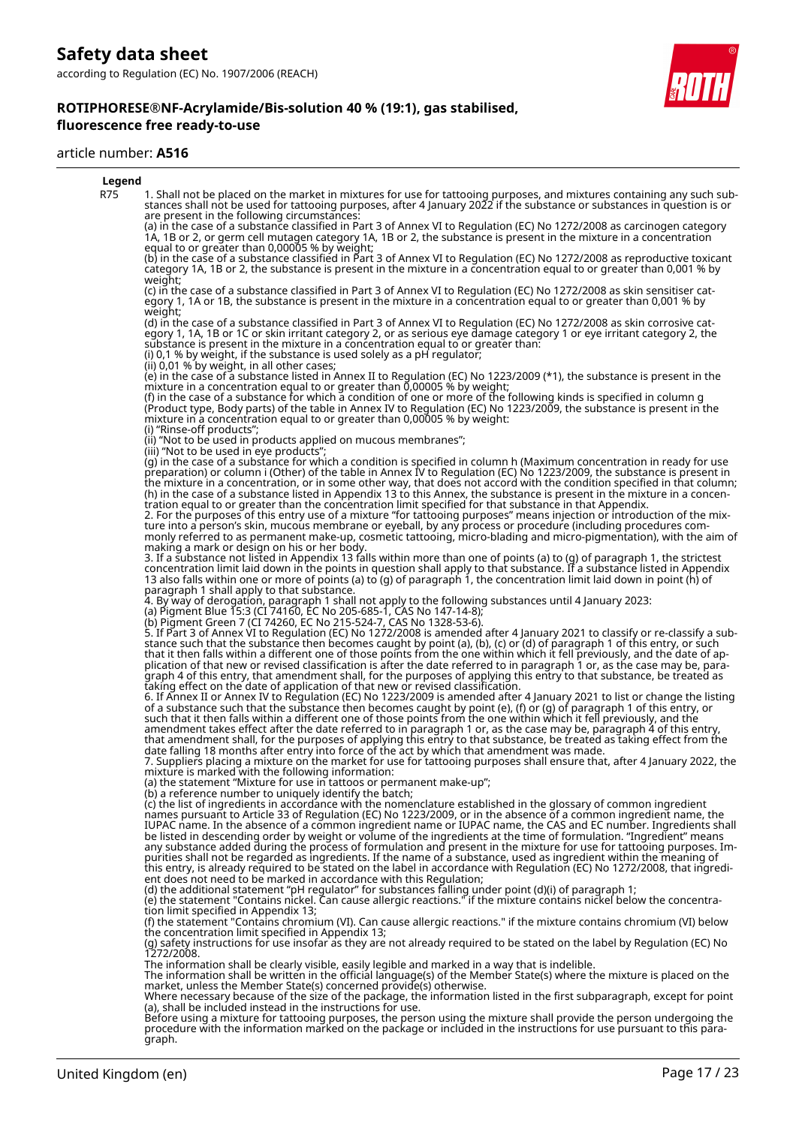#### article number: **A516**



graph.

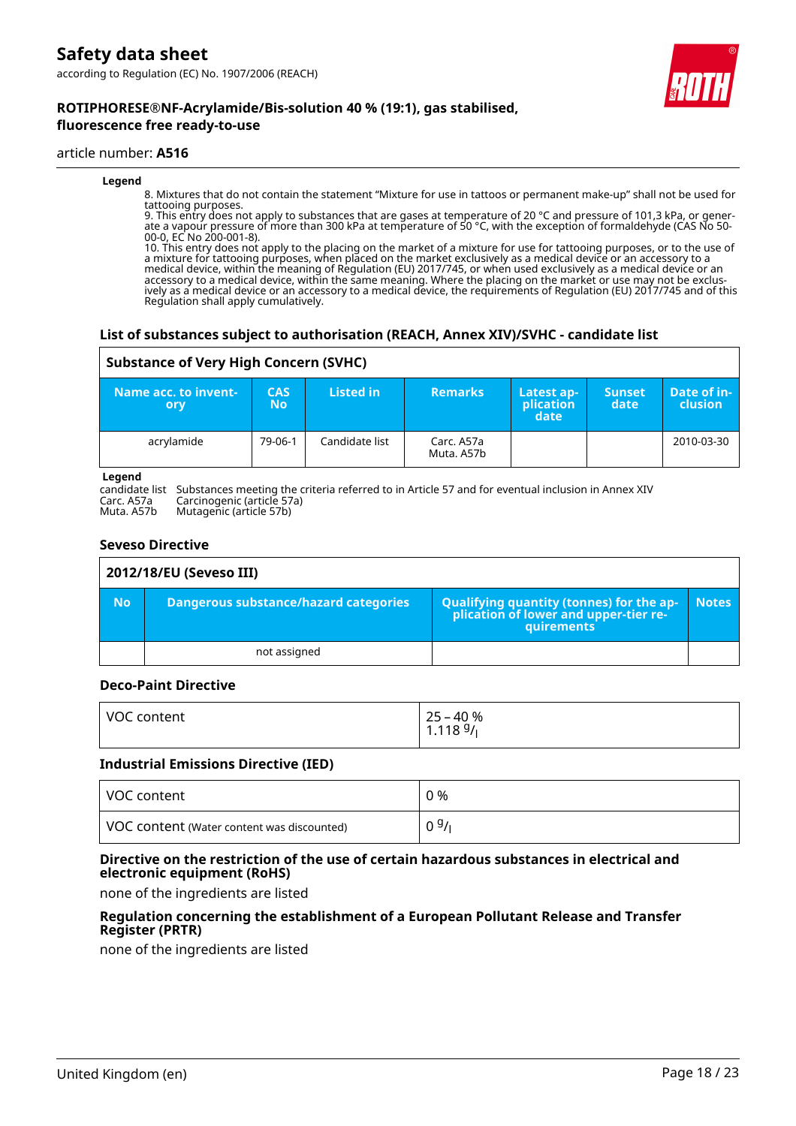**ROTIPHORESE®NF-Acrylamide/Bis-solution 40 % (19:1), gas stabilised,**



#### article number: **A516**

#### **Legend**

8. Mixtures that do not contain the statement "Mixture for use in tattoos or permanent make-up" shall not be used for tattooing purposes.

9. This entry does not apply to substances that are gases at temperature of 20 °C and pressure of 101,3 kPa, or generate a vapour pressure of more than 300 kPa at temperature of 50 °C, with the exception of formaldehyde (CAS No 50- 00-0, EC No 200-001-8).

10. This entry does not apply to the placing on the market of a mixture for use for tattooing purposes, or to the use of a mixture for tattooing purposes, when placed on the market exclusively as a medical device or an accessory to a medical device, within the meaning of Regulation (EU) 2017/745, or when used exclusively as a medical device or an accessory to a medical device, within the same meaning. Where the placing on the market or use may not be exclusively as a medical device or an accessory to a medical device, the requirements of Regulation (EU) 2017/745 and of this Regulation shall apply cumulatively.

# **List of substances subject to authorisation (REACH, Annex XIV)/SVHC - candidate list**

# **Substance of Very High Concern (SVHC)**

| Name acc. to invent-<br>ory | <b>CAS</b><br>No | Listed in      | <b>Remarks</b>           | Latest ap-<br>plication<br>date | <b>Sunset</b><br>date | Date of in-<br><b>clusion</b> |
|-----------------------------|------------------|----------------|--------------------------|---------------------------------|-----------------------|-------------------------------|
| acrylamide                  | 79-06-1          | Candidate list | Carc. A57a<br>Muta. A57b |                                 |                       | 2010-03-30                    |

#### **Legend**

candidate list Substances meeting the criteria referred to in Article 57 and for eventual inclusion in Annex XIV Carc. A57a Carcinogenic (article 57a)

Muta. A57b Mutagenic (article 57b)

# **Seveso Directive**

| 2012/18/EU (Seveso III) |                                              |                                                                                                 |              |  |  |
|-------------------------|----------------------------------------------|-------------------------------------------------------------------------------------------------|--------------|--|--|
| <b>No</b>               | <b>Dangerous substance/hazard categories</b> | Qualifying quantity (tonnes) for the ap-<br>plication of lower and upper-tier re-<br>quirements | <b>Notes</b> |  |  |
|                         | not assigned                                 |                                                                                                 |              |  |  |

# **Deco-Paint Directive**

| VOC content | 25 – 40 %<br>1.118 <sup>g</sup> / <sub>l</sub> |
|-------------|------------------------------------------------|
|             |                                                |

#### **Industrial Emissions Directive (IED)**

| VOC content                                | 0 %  |
|--------------------------------------------|------|
| VOC content (Water content was discounted) | 09/1 |

# **Directive on the restriction of the use of certain hazardous substances in electrical and electronic equipment (RoHS)**

none of the ingredients are listed

# **Regulation concerning the establishment of a European Pollutant Release and Transfer Register (PRTR)**

none of the ingredients are listed

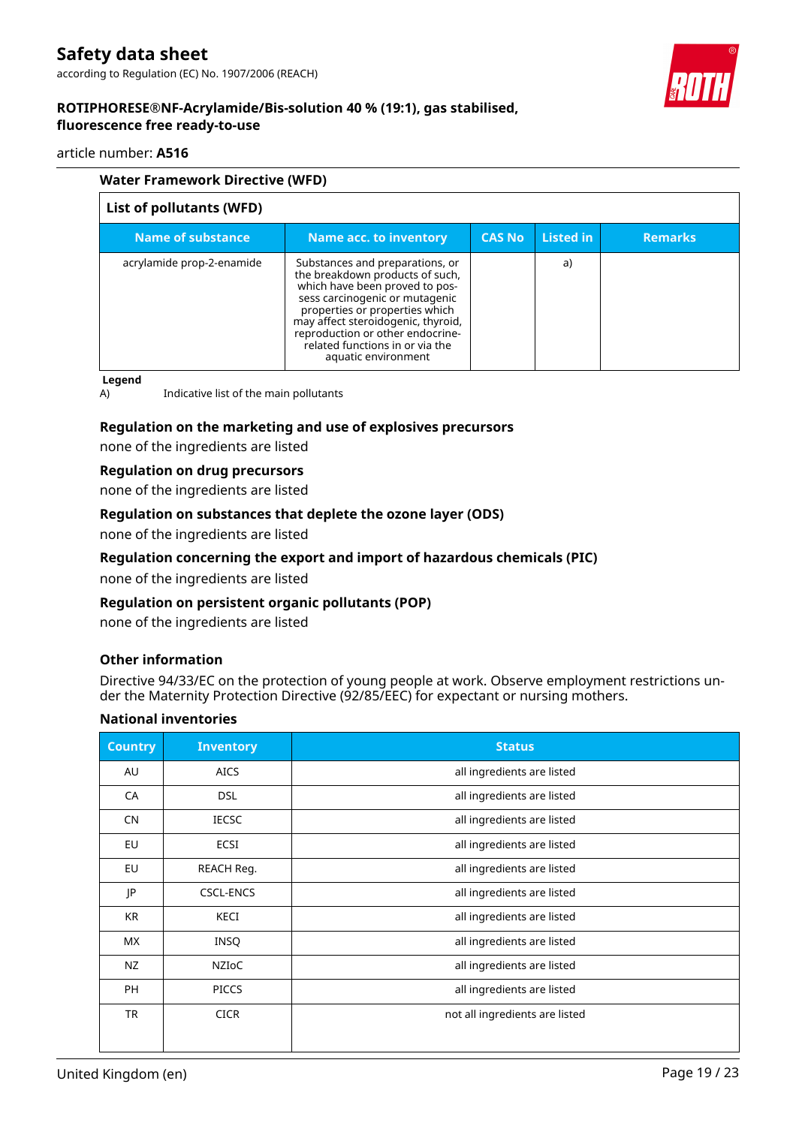# article number: **A516**

| <b>Water Framework Directive (WFD)</b> |                                                                                                                                                                                                                                                                                                              |                |                  |                |
|----------------------------------------|--------------------------------------------------------------------------------------------------------------------------------------------------------------------------------------------------------------------------------------------------------------------------------------------------------------|----------------|------------------|----------------|
| List of pollutants (WFD)               |                                                                                                                                                                                                                                                                                                              |                |                  |                |
| <b>Name of substance</b>               | <b>Name acc. to inventory</b>                                                                                                                                                                                                                                                                                | <b>CAS No.</b> | <b>Listed in</b> | <b>Remarks</b> |
| acrylamide prop-2-enamide              | Substances and preparations, or<br>the breakdown products of such,<br>which have been proved to pos-<br>sess carcinogenic or mutagenic<br>properties or properties which<br>may affect steroidogenic, thyroid,<br>reproduction or other endocrine-<br>related functions in or via the<br>aquatic environment |                | a)               |                |

**Legend**

A) Indicative list of the main pollutants

# **Regulation on the marketing and use of explosives precursors**

none of the ingredients are listed

# **Regulation on drug precursors**

none of the ingredients are listed

# **Regulation on substances that deplete the ozone layer (ODS)**

none of the ingredients are listed

# **Regulation concerning the export and import of hazardous chemicals (PIC)**

none of the ingredients are listed

# **Regulation on persistent organic pollutants (POP)**

none of the ingredients are listed

# **Other information**

Directive 94/33/EC on the protection of young people at work. Observe employment restrictions under the Maternity Protection Directive (92/85/EEC) for expectant or nursing mothers.

# **National inventories**

| <b>Country</b> | <b>Inventory</b> | <b>Status</b>                  |
|----------------|------------------|--------------------------------|
| AU             | <b>AICS</b>      | all ingredients are listed     |
| CA             | <b>DSL</b>       | all ingredients are listed     |
| <b>CN</b>      | <b>IECSC</b>     | all ingredients are listed     |
| EU             | <b>ECSI</b>      | all ingredients are listed     |
| EU             | REACH Reg.       | all ingredients are listed     |
| JP             | <b>CSCL-ENCS</b> | all ingredients are listed     |
| KR             | KECI             | all ingredients are listed     |
| <b>MX</b>      | <b>INSQ</b>      | all ingredients are listed     |
| NZ             | <b>NZIOC</b>     | all ingredients are listed     |
| <b>PH</b>      | <b>PICCS</b>     | all ingredients are listed     |
| <b>TR</b>      | <b>CICR</b>      | not all ingredients are listed |
|                |                  |                                |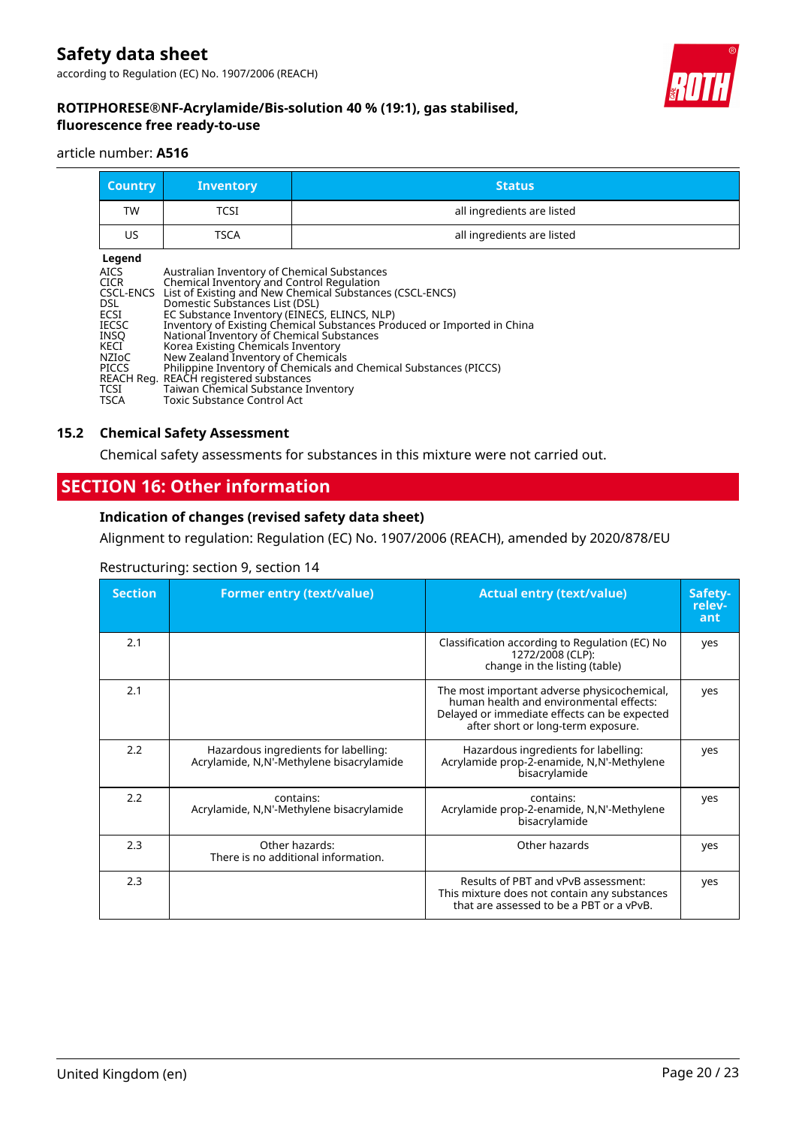

# **ROTIPHORESE®NF-Acrylamide/Bis-solution 40 % (19:1), gas stabilised, fluorescence free ready-to-use**

#### article number: **A516**

| <b>Country</b> | <b>Inventory</b> | <b>Status</b>              |
|----------------|------------------|----------------------------|
| <b>TW</b>      | TCSI             | all ingredients are listed |
| US             | TSCA             | all ingredients are listed |
| l egend        |                  |                            |

| . .<br>M.<br>×<br>٧ |
|---------------------|
|                     |

| Legend                                                                          |                                                                                                                                                                                                                                                                                                                                                                                                                                                                                                                                                                                                             |
|---------------------------------------------------------------------------------|-------------------------------------------------------------------------------------------------------------------------------------------------------------------------------------------------------------------------------------------------------------------------------------------------------------------------------------------------------------------------------------------------------------------------------------------------------------------------------------------------------------------------------------------------------------------------------------------------------------|
| AICS<br>CICR<br>DSL.<br>ECSI<br>IECSC<br>INSO<br>KECI<br>NZIoC<br>PICCS<br>TCSI | Australian Inventory of Chemical Substances<br>Chemical Inventory and Control Regulation<br>CSCL-ENCS List of Existing and New Chemical Substances (CSCL-ENCS)<br>Domestic Substances List (DSL)<br>EC Substance Inventory (EINECS, ELINCS, NLP)<br>Inventory of Existing Chemical Substances Produced or Imported in China<br>National Inventory of Chemical Substances<br>Korea Existing Chemicals Inventory<br>New Zealand Inventory of Chemicals<br>Philippine Inventory of Chemicals and Chemical Substances (PICCS)<br>REACH Reg.  REACH registered substances<br>Taiwan Chemical Substance Inventory |
| TSCA                                                                            | Toxic Substance Control Act                                                                                                                                                                                                                                                                                                                                                                                                                                                                                                                                                                                 |

# **15.2 Chemical Safety Assessment**

Chemical safety assessments for substances in this mixture were not carried out.

# **SECTION 16: Other information**

# **Indication of changes (revised safety data sheet)**

Alignment to regulation: Regulation (EC) No. 1907/2006 (REACH), amended by 2020/878/EU

# Restructuring: section 9, section 14

| <b>Section</b> | <b>Former entry (text/value)</b>                                                 | <b>Actual entry (text/value)</b>                                                                                                                                             | Safety-<br>relev-<br>ant |
|----------------|----------------------------------------------------------------------------------|------------------------------------------------------------------------------------------------------------------------------------------------------------------------------|--------------------------|
| 2.1            |                                                                                  | Classification according to Regulation (EC) No<br>1272/2008 (CLP):<br>change in the listing (table)                                                                          | yes                      |
| 2.1            |                                                                                  | The most important adverse physicochemical,<br>human health and environmental effects:<br>Delayed or immediate effects can be expected<br>after short or long-term exposure. | yes                      |
| 2.2            | Hazardous ingredients for labelling:<br>Acrylamide, N,N'-Methylene bisacrylamide | Hazardous ingredients for labelling:<br>Acrylamide prop-2-enamide, N,N'-Methylene<br>bisacrylamide                                                                           | yes                      |
| 2.2            | contains:<br>Acrylamide, N,N'-Methylene bisacrylamide                            | contains:<br>Acrylamide prop-2-enamide, N,N'-Methylene<br>bisacrylamide                                                                                                      | yes                      |
| 2.3            | Other hazards:<br>There is no additional information.                            | Other hazards                                                                                                                                                                | yes                      |
| 2.3            |                                                                                  | Results of PBT and vPvB assessment:<br>This mixture does not contain any substances<br>that are assessed to be a PBT or a vPvB.                                              | yes                      |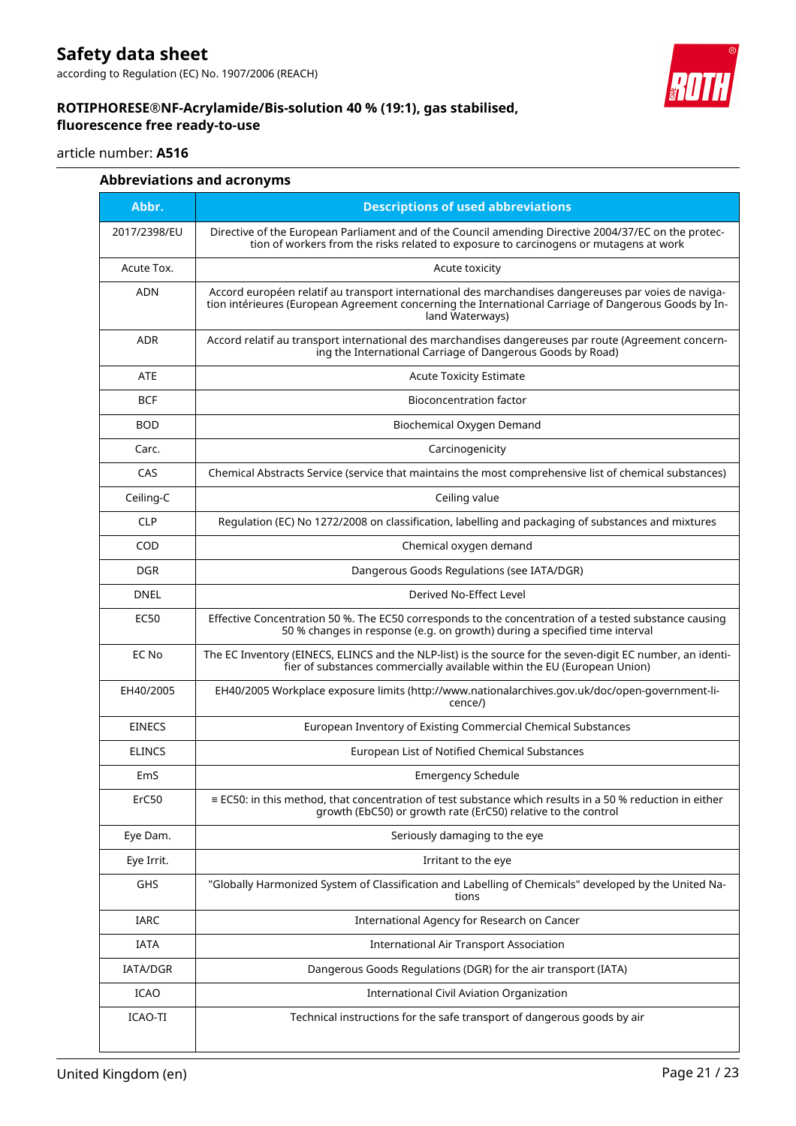according to Regulation (EC) No. 1907/2006 (REACH)

# **ROTIPHORESE®NF-Acrylamide/Bis-solution 40 % (19:1), gas stabilised, fluorescence free ready-to-use**



# article number: **A516**

| Abbr.         | <b>Descriptions of used abbreviations</b>                                                                                                                                                                                       |  |
|---------------|---------------------------------------------------------------------------------------------------------------------------------------------------------------------------------------------------------------------------------|--|
| 2017/2398/EU  | Directive of the European Parliament and of the Council amending Directive 2004/37/EC on the protec-<br>tion of workers from the risks related to exposure to carcinogens or mutagens at work                                   |  |
| Acute Tox.    | Acute toxicity                                                                                                                                                                                                                  |  |
| <b>ADN</b>    | Accord européen relatif au transport international des marchandises dangereuses par voies de naviga-<br>tion intérieures (European Agreement concerning the International Carriage of Dangerous Goods by In-<br>land Waterways) |  |
| <b>ADR</b>    | Accord relatif au transport international des marchandises dangereuses par route (Agreement concern-<br>ing the International Carriage of Dangerous Goods by Road)                                                              |  |
| ATE           | <b>Acute Toxicity Estimate</b>                                                                                                                                                                                                  |  |
| <b>BCF</b>    | <b>Bioconcentration factor</b>                                                                                                                                                                                                  |  |
| <b>BOD</b>    | Biochemical Oxygen Demand                                                                                                                                                                                                       |  |
| Carc.         | Carcinogenicity                                                                                                                                                                                                                 |  |
| CAS           | Chemical Abstracts Service (service that maintains the most comprehensive list of chemical substances)                                                                                                                          |  |
| Ceiling-C     | Ceiling value                                                                                                                                                                                                                   |  |
| <b>CLP</b>    | Regulation (EC) No 1272/2008 on classification, labelling and packaging of substances and mixtures                                                                                                                              |  |
| COD           | Chemical oxygen demand                                                                                                                                                                                                          |  |
| <b>DGR</b>    | Dangerous Goods Regulations (see IATA/DGR)                                                                                                                                                                                      |  |
| <b>DNEL</b>   | Derived No-Effect Level                                                                                                                                                                                                         |  |
| EC50          | Effective Concentration 50 %. The EC50 corresponds to the concentration of a tested substance causing<br>50 % changes in response (e.g. on growth) during a specified time interval                                             |  |
| EC No         | The EC Inventory (EINECS, ELINCS and the NLP-list) is the source for the seven-digit EC number, an identi-<br>fier of substances commercially available within the EU (European Union)                                          |  |
| EH40/2005     | EH40/2005 Workplace exposure limits (http://www.nationalarchives.gov.uk/doc/open-government-li-<br>cence/)                                                                                                                      |  |
| <b>EINECS</b> | European Inventory of Existing Commercial Chemical Substances                                                                                                                                                                   |  |
| <b>ELINCS</b> | European List of Notified Chemical Substances                                                                                                                                                                                   |  |
| EmS           | <b>Emergency Schedule</b>                                                                                                                                                                                                       |  |
| ErC50         | $\equiv$ EC50: in this method, that concentration of test substance which results in a 50 % reduction in either<br>growth (EbC50) or growth rate (ErC50) relative to the control                                                |  |
| Eye Dam.      | Seriously damaging to the eye                                                                                                                                                                                                   |  |
| Eye Irrit.    | Irritant to the eye                                                                                                                                                                                                             |  |
| GHS           | "Globally Harmonized System of Classification and Labelling of Chemicals" developed by the United Na-<br>tions                                                                                                                  |  |
| IARC          | International Agency for Research on Cancer                                                                                                                                                                                     |  |
| <b>IATA</b>   | <b>International Air Transport Association</b>                                                                                                                                                                                  |  |
| IATA/DGR      | Dangerous Goods Regulations (DGR) for the air transport (IATA)                                                                                                                                                                  |  |
| <b>ICAO</b>   | International Civil Aviation Organization                                                                                                                                                                                       |  |
| ICAO-TI       | Technical instructions for the safe transport of dangerous goods by air                                                                                                                                                         |  |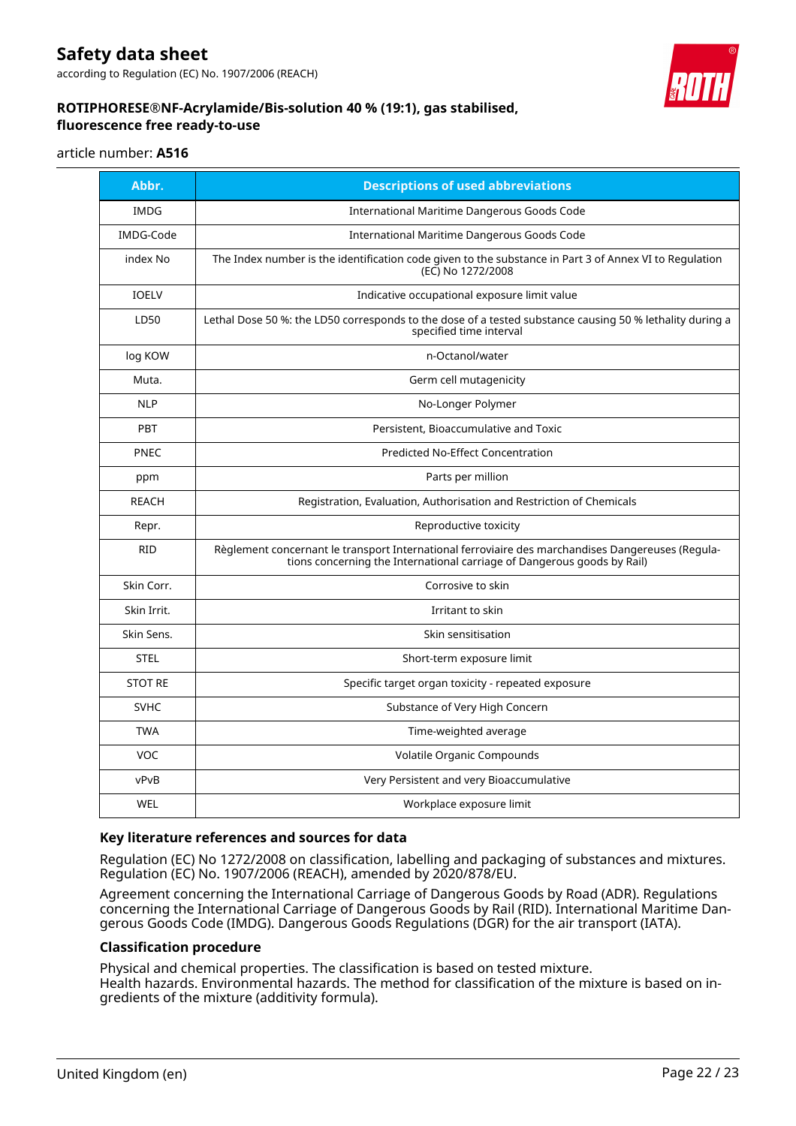according to Regulation (EC) No. 1907/2006 (REACH)



# **ROTIPHORESE®NF-Acrylamide/Bis-solution 40 % (19:1), gas stabilised, fluorescence free ready-to-use**

#### article number: **A516**

| Abbr.          | <b>Descriptions of used abbreviations</b>                                                                                                                                    |
|----------------|------------------------------------------------------------------------------------------------------------------------------------------------------------------------------|
| <b>IMDG</b>    | International Maritime Dangerous Goods Code                                                                                                                                  |
| IMDG-Code      | International Maritime Dangerous Goods Code                                                                                                                                  |
| index No       | The Index number is the identification code given to the substance in Part 3 of Annex VI to Regulation<br>(EC) No 1272/2008                                                  |
| <b>IOELV</b>   | Indicative occupational exposure limit value                                                                                                                                 |
| LD50           | Lethal Dose 50 %: the LD50 corresponds to the dose of a tested substance causing 50 % lethality during a<br>specified time interval                                          |
| log KOW        | n-Octanol/water                                                                                                                                                              |
| Muta.          | Germ cell mutagenicity                                                                                                                                                       |
| <b>NLP</b>     | No-Longer Polymer                                                                                                                                                            |
| <b>PBT</b>     | Persistent, Bioaccumulative and Toxic                                                                                                                                        |
| <b>PNEC</b>    | <b>Predicted No-Effect Concentration</b>                                                                                                                                     |
| ppm            | Parts per million                                                                                                                                                            |
| <b>REACH</b>   | Registration, Evaluation, Authorisation and Restriction of Chemicals                                                                                                         |
| Repr.          | Reproductive toxicity                                                                                                                                                        |
| <b>RID</b>     | Règlement concernant le transport International ferroviaire des marchandises Dangereuses (Regula-<br>tions concerning the International carriage of Dangerous goods by Rail) |
| Skin Corr.     | Corrosive to skin                                                                                                                                                            |
| Skin Irrit.    | Irritant to skin                                                                                                                                                             |
| Skin Sens.     | Skin sensitisation                                                                                                                                                           |
| <b>STEL</b>    | Short-term exposure limit                                                                                                                                                    |
| <b>STOT RE</b> | Specific target organ toxicity - repeated exposure                                                                                                                           |
| <b>SVHC</b>    | Substance of Very High Concern                                                                                                                                               |
| <b>TWA</b>     | Time-weighted average                                                                                                                                                        |
| VOC            | Volatile Organic Compounds                                                                                                                                                   |
| vPvB           | Very Persistent and very Bioaccumulative                                                                                                                                     |
| WEL            | Workplace exposure limit                                                                                                                                                     |

# **Key literature references and sources for data**

Regulation (EC) No 1272/2008 on classification, labelling and packaging of substances and mixtures. Regulation (EC) No. 1907/2006 (REACH), amended by 2020/878/EU.

Agreement concerning the International Carriage of Dangerous Goods by Road (ADR). Regulations concerning the International Carriage of Dangerous Goods by Rail (RID). International Maritime Dangerous Goods Code (IMDG). Dangerous Goods Regulations (DGR) for the air transport (IATA).

# **Classification procedure**

Physical and chemical properties. The classification is based on tested mixture. Health hazards. Environmental hazards. The method for classification of the mixture is based on ingredients of the mixture (additivity formula).